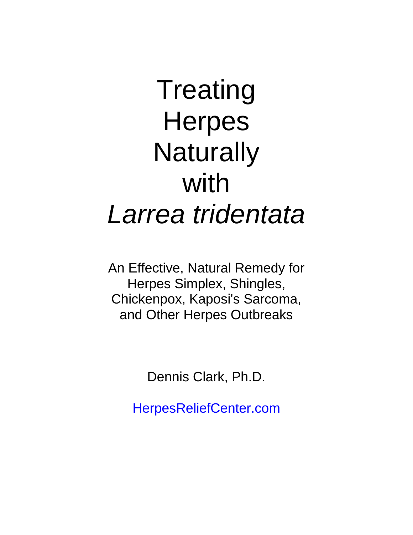# **Treating Herpes Naturally** with *Larrea tridentata*

An Effective, Natural Remedy for Herpes Simplex, Shingles, Chickenpox, Kaposi's Sarcoma, and Other Herpes Outbreaks

Dennis Clark, Ph.D.

[HerpesReliefCenter.com](http://herpesreliefcenter.com/)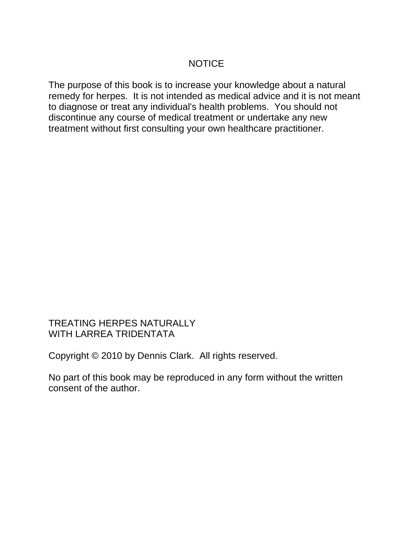## NOTICE

The purpose of this book is to increase your knowledge about a natural remedy for herpes. It is not intended as medical advice and it is not meant to diagnose or treat any individual's health problems. You should not discontinue any course of medical treatment or undertake any new treatment without first consulting your own healthcare practitioner.

## TREATING HERPES NATURALLY WITH LARREA TRIDENTATA

Copyright © 2010 by Dennis Clark. All rights reserved.

No part of this book may be reproduced in any form without the written consent of the author.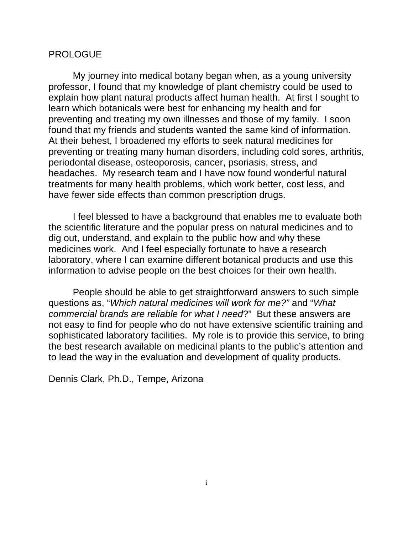#### PROLOGUE

My journey into medical botany began when, as a young university professor, I found that my knowledge of plant chemistry could be used to explain how plant natural products affect human health. At first I sought to learn which botanicals were best for enhancing my health and for preventing and treating my own illnesses and those of my family. I soon found that my friends and students wanted the same kind of information. At their behest, I broadened my efforts to seek natural medicines for preventing or treating many human disorders, including cold sores, arthritis, periodontal disease, osteoporosis, cancer, psoriasis, stress, and headaches. My research team and I have now found wonderful natural treatments for many health problems, which work better, cost less, and have fewer side effects than common prescription drugs.

I feel blessed to have a background that enables me to evaluate both the scientific literature and the popular press on natural medicines and to dig out, understand, and explain to the public how and why these medicines work. And I feel especially fortunate to have a research laboratory, where I can examine different botanical products and use this information to advise people on the best choices for their own health.

People should be able to get straightforward answers to such simple questions as, "*Which natural medicines will work for me?"* and "*What commercial brands are reliable for what I need*?" But these answers are not easy to find for people who do not have extensive scientific training and sophisticated laboratory facilities. My role is to provide this service, to bring the best research available on medicinal plants to the public's attention and to lead the way in the evaluation and development of quality products.

Dennis Clark, Ph.D., Tempe, Arizona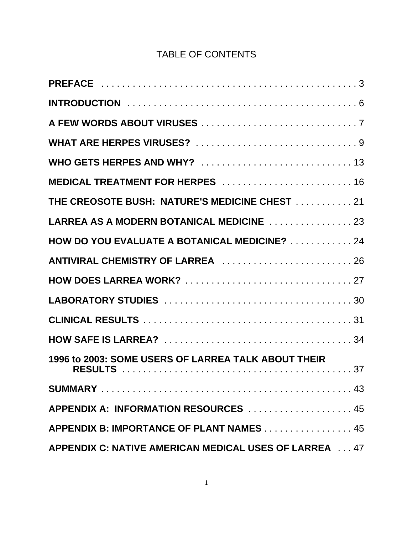# TABLE OF CONTENTS

| MEDICAL TREATMENT FOR HERPES  16                      |
|-------------------------------------------------------|
| THE CREOSOTE BUSH: NATURE'S MEDICINE CHEST 21         |
| LARREA AS A MODERN BOTANICAL MEDICINE 23              |
| HOW DO YOU EVALUATE A BOTANICAL MEDICINE? 24          |
| ANTIVIRAL CHEMISTRY OF LARREA 26                      |
|                                                       |
|                                                       |
|                                                       |
|                                                       |
| 1996 to 2003: SOME USERS OF LARREA TALK ABOUT THEIR   |
|                                                       |
| APPENDIX A: INFORMATION RESOURCES  45                 |
| APPENDIX B: IMPORTANCE OF PLANT NAMES 45              |
| APPENDIX C: NATIVE AMERICAN MEDICAL USES OF LARREA 47 |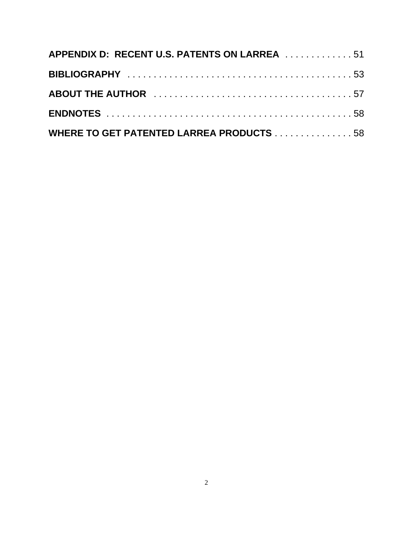| APPENDIX D: RECENT U.S. PATENTS ON LARREA 51    |  |
|-------------------------------------------------|--|
|                                                 |  |
|                                                 |  |
|                                                 |  |
| <b>WHERE TO GET PATENTED LARREA PRODUCTS 58</b> |  |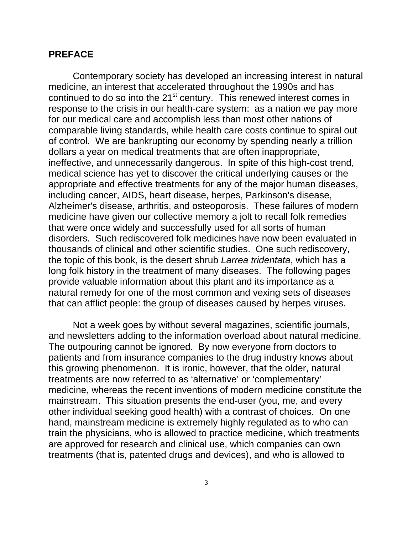#### **PREFACE**

Contemporary society has developed an increasing interest in natural medicine, an interest that accelerated throughout the 1990s and has continued to do so into the 21<sup>st</sup> century. This renewed interest comes in response to the crisis in our health-care system: as a nation we pay more for our medical care and accomplish less than most other nations of comparable living standards, while health care costs continue to spiral out of control. We are bankrupting our economy by spending nearly a trillion dollars a year on medical treatments that are often inappropriate, ineffective, and unnecessarily dangerous. In spite of this high-cost trend, medical science has yet to discover the critical underlying causes or the appropriate and effective treatments for any of the major human diseases, including cancer, AIDS, heart disease, herpes, Parkinson's disease, Alzheimer's disease, arthritis, and osteoporosis. These failures of modern medicine have given our collective memory a jolt to recall folk remedies that were once widely and successfully used for all sorts of human disorders. Such rediscovered folk medicines have now been evaluated in thousands of clinical and other scientific studies. One such rediscovery, the topic of this book, is the desert shrub *Larrea tridentata*, which has a long folk history in the treatment of many diseases. The following pages provide valuable information about this plant and its importance as a natural remedy for one of the most common and vexing sets of diseases that can afflict people: the group of diseases caused by herpes viruses.

Not a week goes by without several magazines, scientific journals, and newsletters adding to the information overload about natural medicine. The outpouring cannot be ignored. By now everyone from doctors to patients and from insurance companies to the drug industry knows about this growing phenomenon. It is ironic, however, that the older, natural treatments are now referred to as 'alternative' or 'complementary' medicine, whereas the recent inventions of modern medicine constitute the mainstream. This situation presents the end-user (you, me, and every other individual seeking good health) with a contrast of choices. On one hand, mainstream medicine is extremely highly regulated as to who can train the physicians, who is allowed to practice medicine, which treatments are approved for research and clinical use, which companies can own treatments (that is, patented drugs and devices), and who is allowed to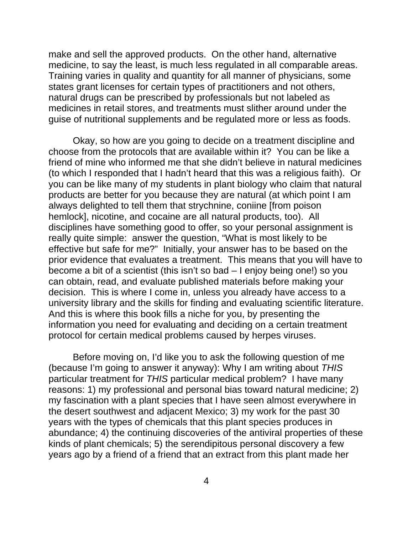make and sell the approved products. On the other hand, alternative medicine, to say the least, is much less regulated in all comparable areas. Training varies in quality and quantity for all manner of physicians, some states grant licenses for certain types of practitioners and not others, natural drugs can be prescribed by professionals but not labeled as medicines in retail stores, and treatments must slither around under the guise of nutritional supplements and be regulated more or less as foods.

Okay, so how are you going to decide on a treatment discipline and choose from the protocols that are available within it? You can be like a friend of mine who informed me that she didn't believe in natural medicines (to which I responded that I hadn't heard that this was a religious faith). Or you can be like many of my students in plant biology who claim that natural products are better for you because they are natural (at which point I am always delighted to tell them that strychnine, coniine [from poison hemlock], nicotine, and cocaine are all natural products, too). All disciplines have something good to offer, so your personal assignment is really quite simple: answer the question, "What is most likely to be effective but safe for me?" Initially, your answer has to be based on the prior evidence that evaluates a treatment. This means that you will have to become a bit of a scientist (this isn't so bad – I enjoy being one!) so you can obtain, read, and evaluate published materials before making your decision. This is where I come in, unless you already have access to a university library and the skills for finding and evaluating scientific literature. And this is where this book fills a niche for you, by presenting the information you need for evaluating and deciding on a certain treatment protocol for certain medical problems caused by herpes viruses.

Before moving on, I'd like you to ask the following question of me (because I'm going to answer it anyway): Why I am writing about *THIS* particular treatment for *THIS* particular medical problem? I have many reasons: 1) my professional and personal bias toward natural medicine; 2) my fascination with a plant species that I have seen almost everywhere in the desert southwest and adjacent Mexico; 3) my work for the past 30 years with the types of chemicals that this plant species produces in abundance; 4) the continuing discoveries of the antiviral properties of these kinds of plant chemicals; 5) the serendipitous personal discovery a few years ago by a friend of a friend that an extract from this plant made her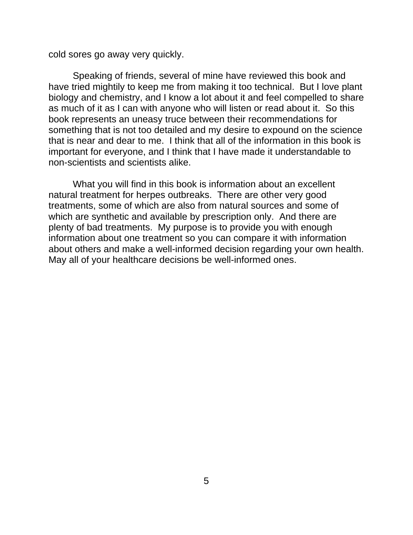cold sores go away very quickly.

Speaking of friends, several of mine have reviewed this book and have tried mightily to keep me from making it too technical. But I love plant biology and chemistry, and I know a lot about it and feel compelled to share as much of it as I can with anyone who will listen or read about it. So this book represents an uneasy truce between their recommendations for something that is not too detailed and my desire to expound on the science that is near and dear to me. I think that all of the information in this book is important for everyone, and I think that I have made it understandable to non-scientists and scientists alike.

What you will find in this book is information about an excellent natural treatment for herpes outbreaks. There are other very good treatments, some of which are also from natural sources and some of which are synthetic and available by prescription only. And there are plenty of bad treatments. My purpose is to provide you with enough information about one treatment so you can compare it with information about others and make a well-informed decision regarding your own health. May all of your healthcare decisions be well-informed ones.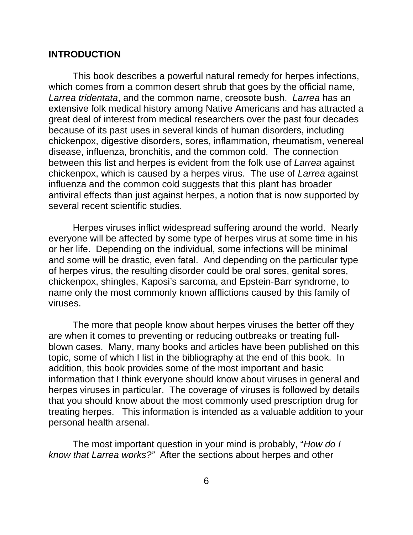#### **INTRODUCTION**

This book describes a powerful natural remedy for herpes infections, which comes from a common desert shrub that goes by the official name, *Larrea tridentata*, and the common name, creosote bush. *Larrea* has an extensive folk medical history among Native Americans and has attracted a great deal of interest from medical researchers over the past four decades because of its past uses in several kinds of human disorders, including chickenpox, digestive disorders, sores, inflammation, rheumatism, venereal disease, influenza, bronchitis, and the common cold. The connection between this list and herpes is evident from the folk use of *Larrea* against chickenpox, which is caused by a herpes virus. The use of *Larrea* against influenza and the common cold suggests that this plant has broader antiviral effects than just against herpes, a notion that is now supported by several recent scientific studies.

Herpes viruses inflict widespread suffering around the world. Nearly everyone will be affected by some type of herpes virus at some time in his or her life. Depending on the individual, some infections will be minimal and some will be drastic, even fatal. And depending on the particular type of herpes virus, the resulting disorder could be oral sores, genital sores, chickenpox, shingles, Kaposi's sarcoma, and Epstein-Barr syndrome, to name only the most commonly known afflictions caused by this family of viruses.

The more that people know about herpes viruses the better off they are when it comes to preventing or reducing outbreaks or treating fullblown cases. Many, many books and articles have been published on this topic, some of which I list in the bibliography at the end of this book. In addition, this book provides some of the most important and basic information that I think everyone should know about viruses in general and herpes viruses in particular. The coverage of viruses is followed by details that you should know about the most commonly used prescription drug for treating herpes. This information is intended as a valuable addition to your personal health arsenal.

The most important question in your mind is probably, "*How do I know that Larrea works?"* After the sections about herpes and other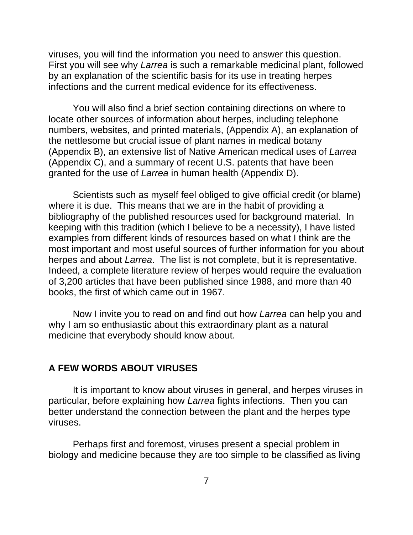viruses, you will find the information you need to answer this question. First you will see why *Larrea* is such a remarkable medicinal plant, followed by an explanation of the scientific basis for its use in treating herpes infections and the current medical evidence for its effectiveness.

You will also find a brief section containing directions on where to locate other sources of information about herpes, including telephone numbers, websites, and printed materials, (Appendix A), an explanation of the nettlesome but crucial issue of plant names in medical botany (Appendix B), an extensive list of Native American medical uses of *Larrea* (Appendix C), and a summary of recent U.S. patents that have been granted for the use of *Larrea* in human health (Appendix D).

Scientists such as myself feel obliged to give official credit (or blame) where it is due. This means that we are in the habit of providing a bibliography of the published resources used for background material. In keeping with this tradition (which I believe to be a necessity), I have listed examples from different kinds of resources based on what I think are the most important and most useful sources of further information for you about herpes and about *Larrea*. The list is not complete, but it is representative. Indeed, a complete literature review of herpes would require the evaluation of 3,200 articles that have been published since 1988, and more than 40 books, the first of which came out in 1967.

Now I invite you to read on and find out how *Larrea* can help you and why I am so enthusiastic about this extraordinary plant as a natural medicine that everybody should know about.

#### **A FEW WORDS ABOUT VIRUSES**

It is important to know about viruses in general, and herpes viruses in particular, before explaining how *Larrea* fights infections. Then you can better understand the connection between the plant and the herpes type viruses.

Perhaps first and foremost, viruses present a special problem in biology and medicine because they are too simple to be classified as living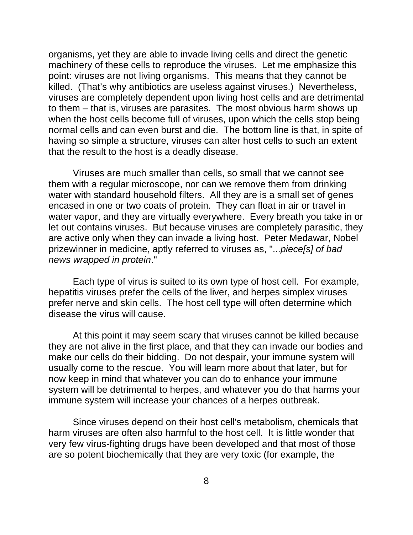organisms, yet they are able to invade living cells and direct the genetic machinery of these cells to reproduce the viruses. Let me emphasize this point: viruses are not living organisms. This means that they cannot be killed. (That's why antibiotics are useless against viruses.) Nevertheless, viruses are completely dependent upon living host cells and are detrimental to them – that is, viruses are parasites. The most obvious harm shows up when the host cells become full of viruses, upon which the cells stop being normal cells and can even burst and die. The bottom line is that, in spite of having so simple a structure, viruses can alter host cells to such an extent that the result to the host is a deadly disease.

Viruses are much smaller than cells, so small that we cannot see them with a regular microscope, nor can we remove them from drinking water with standard household filters. All they are is a small set of genes encased in one or two coats of protein. They can float in air or travel in water vapor, and they are virtually everywhere. Every breath you take in or let out contains viruses. But because viruses are completely parasitic, they are active only when they can invade a living host. Peter Medawar, Nobel prizewinner in medicine, aptly referred to viruses as, "...*piece[s] of bad news wrapped in protein*."

Each type of virus is suited to its own type of host cell. For example, hepatitis viruses prefer the cells of the liver, and herpes simplex viruses prefer nerve and skin cells. The host cell type will often determine which disease the virus will cause.

At this point it may seem scary that viruses cannot be killed because they are not alive in the first place, and that they can invade our bodies and make our cells do their bidding. Do not despair, your immune system will usually come to the rescue. You will learn more about that later, but for now keep in mind that whatever you can do to enhance your immune system will be detrimental to herpes, and whatever you do that harms your immune system will increase your chances of a herpes outbreak.

Since viruses depend on their host cell's metabolism, chemicals that harm viruses are often also harmful to the host cell. It is little wonder that very few virus-fighting drugs have been developed and that most of those are so potent biochemically that they are very toxic (for example, the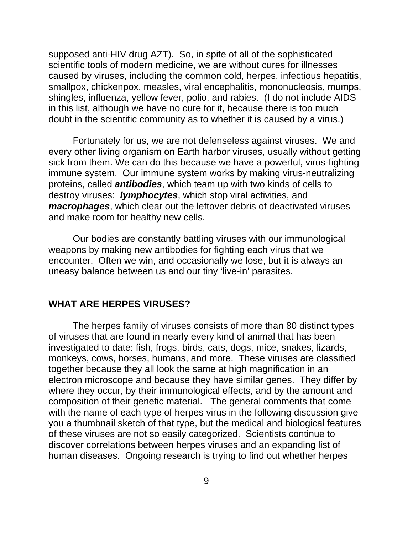supposed anti-HIV drug AZT). So, in spite of all of the sophisticated scientific tools of modern medicine, we are without cures for illnesses caused by viruses, including the common cold, herpes, infectious hepatitis, smallpox, chickenpox, measles, viral encephalitis, mononucleosis, mumps, shingles, influenza, yellow fever, polio, and rabies. (I do not include AIDS in this list, although we have no cure for it, because there is too much doubt in the scientific community as to whether it is caused by a virus.)

Fortunately for us, we are not defenseless against viruses. We and every other living organism on Earth harbor viruses, usually without getting sick from them. We can do this because we have a powerful, virus-fighting immune system. Our immune system works by making virus-neutralizing proteins, called *antibodies*, which team up with two kinds of cells to destroy viruses: *lymphocytes*, which stop viral activities, and *macrophages*, which clear out the leftover debris of deactivated viruses and make room for healthy new cells.

Our bodies are constantly battling viruses with our immunological weapons by making new antibodies for fighting each virus that we encounter. Often we win, and occasionally we lose, but it is always an uneasy balance between us and our tiny 'live-in' parasites.

#### **WHAT ARE HERPES VIRUSES?**

The herpes family of viruses consists of more than 80 distinct types of viruses that are found in nearly every kind of animal that has been investigated to date: fish, frogs, birds, cats, dogs, mice, snakes, lizards, monkeys, cows, horses, humans, and more. These viruses are classified together because they all look the same at high magnification in an electron microscope and because they have similar genes. They differ by where they occur, by their immunological effects, and by the amount and composition of their genetic material. The general comments that come with the name of each type of herpes virus in the following discussion give you a thumbnail sketch of that type, but the medical and biological features of these viruses are not so easily categorized. Scientists continue to discover correlations between herpes viruses and an expanding list of human diseases. Ongoing research is trying to find out whether herpes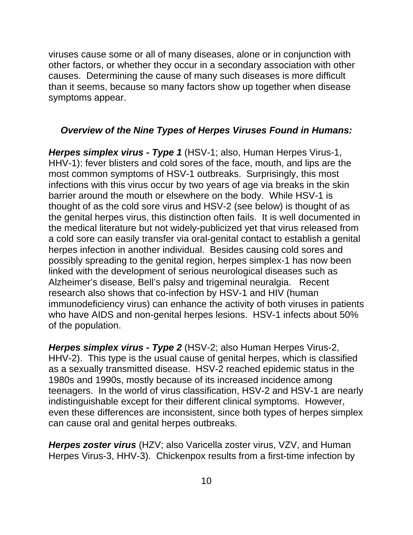viruses cause some or all of many diseases, alone or in conjunction with other factors, or whether they occur in a secondary association with other causes. Determining the cause of many such diseases is more difficult than it seems, because so many factors show up together when disease symptoms appear.

## *Overview of the Nine Types of Herpes Viruses Found in Humans:*

*Herpes simplex virus - Type 1* (HSV-1; also, Human Herpes Virus-1, HHV-1): fever blisters and cold sores of the face, mouth, and lips are the most common symptoms of HSV-1 outbreaks. Surprisingly, this most infections with this virus occur by two years of age via breaks in the skin barrier around the mouth or elsewhere on the body. While HSV-1 is thought of as the cold sore virus and HSV-2 (see below) is thought of as the genital herpes virus, this distinction often fails. It is well documented in the medical literature but not widely-publicized yet that virus released from a cold sore can easily transfer via oral-genital contact to establish a genital herpes infection in another individual. Besides causing cold sores and possibly spreading to the genital region, herpes simplex-1 has now been linked with the development of serious neurological diseases such as Alzheimer's disease, Bell's palsy and trigeminal neuralgia. Recent research also shows that co-infection by HSV-1 and HIV (human immunodeficiency virus) can enhance the activity of both viruses in patients who have AIDS and non-genital herpes lesions. HSV-1 infects about 50% of the population.

*Herpes simplex virus - Type 2* (HSV-2; also Human Herpes Virus-2, HHV-2). This type is the usual cause of genital herpes, which is classified as a sexually transmitted disease. HSV-2 reached epidemic status in the 1980s and 1990s, mostly because of its increased incidence among teenagers. In the world of virus classification, HSV-2 and HSV-1 are nearly indistinguishable except for their different clinical symptoms. However, even these differences are inconsistent, since both types of herpes simplex can cause oral and genital herpes outbreaks.

*Herpes zoster virus* (HZV; also Varicella zoster virus, VZV, and Human Herpes Virus-3, HHV-3). Chickenpox results from a first-time infection by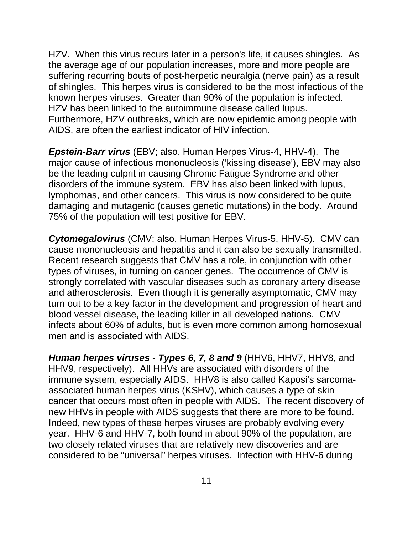HZV. When this virus recurs later in a person's life, it causes shingles. As the average age of our population increases, more and more people are suffering recurring bouts of post-herpetic neuralgia (nerve pain) as a result of shingles. This herpes virus is considered to be the most infectious of the known herpes viruses. Greater than 90% of the population is infected. HZV has been linked to the autoimmune disease called lupus. Furthermore, HZV outbreaks, which are now epidemic among people with AIDS, are often the earliest indicator of HIV infection.

*Epstein-Barr virus* (EBV; also, Human Herpes Virus-4, HHV-4). The major cause of infectious mononucleosis ('kissing disease'), EBV may also be the leading culprit in causing Chronic Fatigue Syndrome and other disorders of the immune system. EBV has also been linked with lupus, lymphomas, and other cancers. This virus is now considered to be quite damaging and mutagenic (causes genetic mutations) in the body. Around 75% of the population will test positive for EBV.

*Cytomegalovirus* (CMV; also, Human Herpes Virus-5, HHV-5). CMV can cause mononucleosis and hepatitis and it can also be sexually transmitted. Recent research suggests that CMV has a role, in conjunction with other types of viruses, in turning on cancer genes. The occurrence of CMV is strongly correlated with vascular diseases such as coronary artery disease and atherosclerosis. Even though it is generally asymptomatic, CMV may turn out to be a key factor in the development and progression of heart and blood vessel disease, the leading killer in all developed nations. CMV infects about 60% of adults, but is even more common among homosexual men and is associated with AIDS.

*Human herpes viruses - Types 6, 7, 8 and 9 (HHV6, HHV7, HHV8, and* HHV9, respectively). All HHVs are associated with disorders of the immune system, especially AIDS. HHV8 is also called Kaposi's sarcomaassociated human herpes virus (KSHV), which causes a type of skin cancer that occurs most often in people with AIDS. The recent discovery of new HHVs in people with AIDS suggests that there are more to be found. Indeed, new types of these herpes viruses are probably evolving every year. HHV-6 and HHV-7, both found in about 90% of the population, are two closely related viruses that are relatively new discoveries and are considered to be "universal" herpes viruses. Infection with HHV-6 during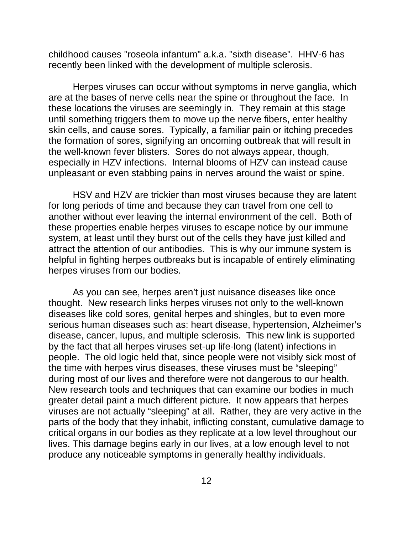childhood causes "roseola infantum" a.k.a. "sixth disease". HHV-6 has recently been linked with the development of multiple sclerosis.

Herpes viruses can occur without symptoms in nerve ganglia, which are at the bases of nerve cells near the spine or throughout the face. In these locations the viruses are seemingly in. They remain at this stage until something triggers them to move up the nerve fibers, enter healthy skin cells, and cause sores. Typically, a familiar pain or itching precedes the formation of sores, signifying an oncoming outbreak that will result in the well-known fever blisters. Sores do not always appear, though, especially in HZV infections. Internal blooms of HZV can instead cause unpleasant or even stabbing pains in nerves around the waist or spine.

HSV and HZV are trickier than most viruses because they are latent for long periods of time and because they can travel from one cell to another without ever leaving the internal environment of the cell. Both of these properties enable herpes viruses to escape notice by our immune system, at least until they burst out of the cells they have just killed and attract the attention of our antibodies. This is why our immune system is helpful in fighting herpes outbreaks but is incapable of entirely eliminating herpes viruses from our bodies.

As you can see, herpes aren't just nuisance diseases like once thought. New research links herpes viruses not only to the well-known diseases like cold sores, genital herpes and shingles, but to even more serious human diseases such as: heart disease, hypertension, Alzheimer's disease, cancer, lupus, and multiple sclerosis. This new link is supported by the fact that all herpes viruses set-up life-long (latent) infections in people. The old logic held that, since people were not visibly sick most of the time with herpes virus diseases, these viruses must be "sleeping" during most of our lives and therefore were not dangerous to our health. New research tools and techniques that can examine our bodies in much greater detail paint a much different picture. It now appears that herpes viruses are not actually "sleeping" at all. Rather, they are very active in the parts of the body that they inhabit, inflicting constant, cumulative damage to critical organs in our bodies as they replicate at a low level throughout our lives. This damage begins early in our lives, at a low enough level to not produce any noticeable symptoms in generally healthy individuals.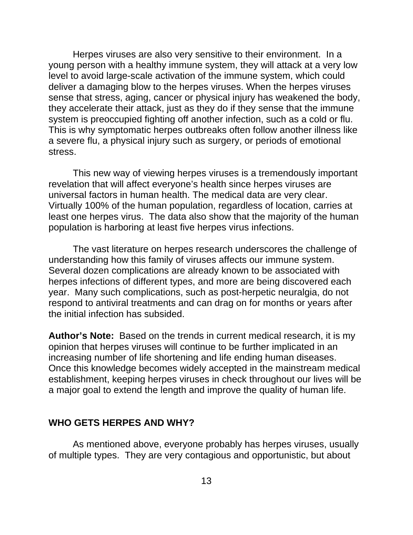Herpes viruses are also very sensitive to their environment. In a young person with a healthy immune system, they will attack at a very low level to avoid large-scale activation of the immune system, which could deliver a damaging blow to the herpes viruses. When the herpes viruses sense that stress, aging, cancer or physical injury has weakened the body, they accelerate their attack, just as they do if they sense that the immune system is preoccupied fighting off another infection, such as a cold or flu. This is why symptomatic herpes outbreaks often follow another illness like a severe flu, a physical injury such as surgery, or periods of emotional stress.

This new way of viewing herpes viruses is a tremendously important revelation that will affect everyone's health since herpes viruses are universal factors in human health. The medical data are very clear. Virtually 100% of the human population, regardless of location, carries at least one herpes virus. The data also show that the majority of the human population is harboring at least five herpes virus infections.

The vast literature on herpes research underscores the challenge of understanding how this family of viruses affects our immune system. Several dozen complications are already known to be associated with herpes infections of different types, and more are being discovered each year. Many such complications, such as post-herpetic neuralgia, do not respond to antiviral treatments and can drag on for months or years after the initial infection has subsided.

**Author's Note:** Based on the trends in current medical research, it is my opinion that herpes viruses will continue to be further implicated in an increasing number of life shortening and life ending human diseases. Once this knowledge becomes widely accepted in the mainstream medical establishment, keeping herpes viruses in check throughout our lives will be a major goal to extend the length and improve the quality of human life.

#### **WHO GETS HERPES AND WHY?**

As mentioned above, everyone probably has herpes viruses, usually of multiple types. They are very contagious and opportunistic, but about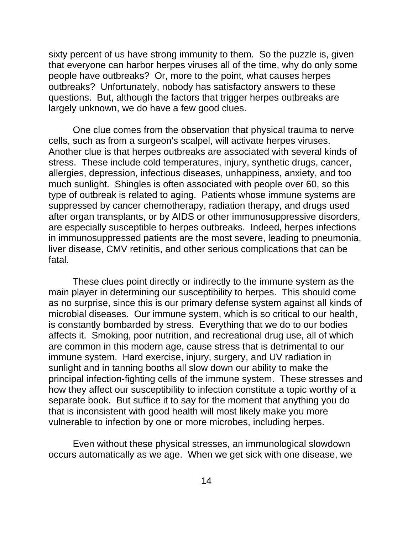sixty percent of us have strong immunity to them. So the puzzle is, given that everyone can harbor herpes viruses all of the time, why do only some people have outbreaks? Or, more to the point, what causes herpes outbreaks? Unfortunately, nobody has satisfactory answers to these questions. But, although the factors that trigger herpes outbreaks are largely unknown, we do have a few good clues.

One clue comes from the observation that physical trauma to nerve cells, such as from a surgeon's scalpel, will activate herpes viruses. Another clue is that herpes outbreaks are associated with several kinds of stress. These include cold temperatures, injury, synthetic drugs, cancer, allergies, depression, infectious diseases, unhappiness, anxiety, and too much sunlight. Shingles is often associated with people over 60, so this type of outbreak is related to aging. Patients whose immune systems are suppressed by cancer chemotherapy, radiation therapy, and drugs used after organ transplants, or by AIDS or other immunosuppressive disorders, are especially susceptible to herpes outbreaks. Indeed, herpes infections in immunosuppressed patients are the most severe, leading to pneumonia, liver disease, CMV retinitis, and other serious complications that can be fatal.

These clues point directly or indirectly to the immune system as the main player in determining our susceptibility to herpes. This should come as no surprise, since this is our primary defense system against all kinds of microbial diseases. Our immune system, which is so critical to our health, is constantly bombarded by stress. Everything that we do to our bodies affects it. Smoking, poor nutrition, and recreational drug use, all of which are common in this modern age, cause stress that is detrimental to our immune system. Hard exercise, injury, surgery, and UV radiation in sunlight and in tanning booths all slow down our ability to make the principal infection-fighting cells of the immune system. These stresses and how they affect our susceptibility to infection constitute a topic worthy of a separate book. But suffice it to say for the moment that anything you do that is inconsistent with good health will most likely make you more vulnerable to infection by one or more microbes, including herpes.

Even without these physical stresses, an immunological slowdown occurs automatically as we age. When we get sick with one disease, we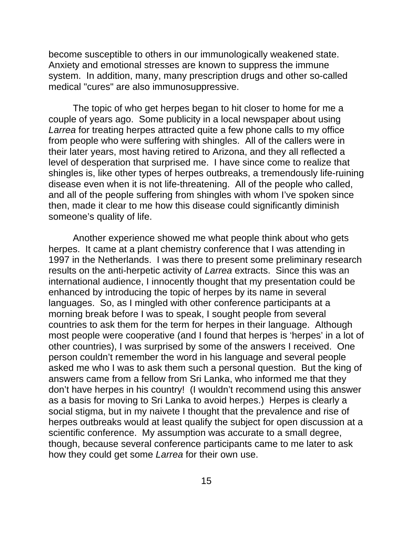become susceptible to others in our immunologically weakened state. Anxiety and emotional stresses are known to suppress the immune system. In addition, many, many prescription drugs and other so-called medical "cures" are also immunosuppressive.

The topic of who get herpes began to hit closer to home for me a couple of years ago. Some publicity in a local newspaper about using *Larrea* for treating herpes attracted quite a few phone calls to my office from people who were suffering with shingles. All of the callers were in their later years, most having retired to Arizona, and they all reflected a level of desperation that surprised me. I have since come to realize that shingles is, like other types of herpes outbreaks, a tremendously life-ruining disease even when it is not life-threatening. All of the people who called, and all of the people suffering from shingles with whom I've spoken since then, made it clear to me how this disease could significantly diminish someone's quality of life.

Another experience showed me what people think about who gets herpes. It came at a plant chemistry conference that I was attending in 1997 in the Netherlands. I was there to present some preliminary research results on the anti-herpetic activity of *Larrea* extracts. Since this was an international audience, I innocently thought that my presentation could be enhanced by introducing the topic of herpes by its name in several languages. So, as I mingled with other conference participants at a morning break before I was to speak, I sought people from several countries to ask them for the term for herpes in their language. Although most people were cooperative (and I found that herpes is 'herpes' in a lot of other countries), I was surprised by some of the answers I received. One person couldn't remember the word in his language and several people asked me who I was to ask them such a personal question. But the king of answers came from a fellow from Sri Lanka, who informed me that they don't have herpes in his country! (I wouldn't recommend using this answer as a basis for moving to Sri Lanka to avoid herpes.) Herpes is clearly a social stigma, but in my naivete I thought that the prevalence and rise of herpes outbreaks would at least qualify the subject for open discussion at a scientific conference. My assumption was accurate to a small degree, though, because several conference participants came to me later to ask how they could get some *Larrea* for their own use.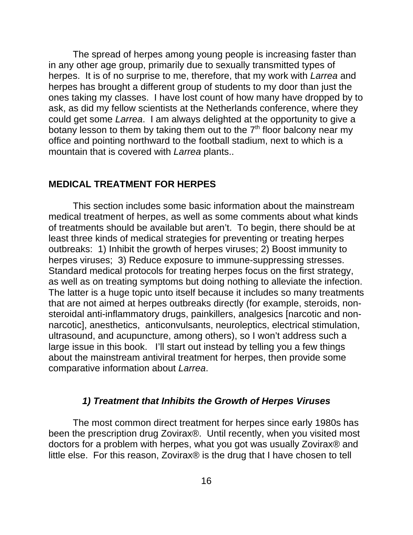The spread of herpes among young people is increasing faster than in any other age group, primarily due to sexually transmitted types of herpes. It is of no surprise to me, therefore, that my work with *Larrea* and herpes has brought a different group of students to my door than just the ones taking my classes. I have lost count of how many have dropped by to ask, as did my fellow scientists at the Netherlands conference, where they could get some *Larrea*. I am always delighted at the opportunity to give a botany lesson to them by taking them out to the  $7<sup>th</sup>$  floor balcony near my office and pointing northward to the football stadium, next to which is a mountain that is covered with *Larrea* plants..

#### **MEDICAL TREATMENT FOR HERPES**

This section includes some basic information about the mainstream medical treatment of herpes, as well as some comments about what kinds of treatments should be available but aren't. To begin, there should be at least three kinds of medical strategies for preventing or treating herpes outbreaks: 1) Inhibit the growth of herpes viruses; 2) Boost immunity to herpes viruses; 3) Reduce exposure to immune-suppressing stresses. Standard medical protocols for treating herpes focus on the first strategy, as well as on treating symptoms but doing nothing to alleviate the infection. The latter is a huge topic unto itself because it includes so many treatments that are not aimed at herpes outbreaks directly (for example, steroids, nonsteroidal anti-inflammatory drugs, painkillers, analgesics [narcotic and nonnarcotic], anesthetics, anticonvulsants, neuroleptics, electrical stimulation, ultrasound, and acupuncture, among others), so I won't address such a large issue in this book. I'll start out instead by telling you a few things about the mainstream antiviral treatment for herpes, then provide some comparative information about *Larrea*.

#### *1) Treatment that Inhibits the Growth of Herpes Viruses*

The most common direct treatment for herpes since early 1980s has been the prescription drug Zovirax®. Until recently, when you visited most doctors for a problem with herpes, what you got was usually Zovirax® and little else. For this reason, Zovirax® is the drug that I have chosen to tell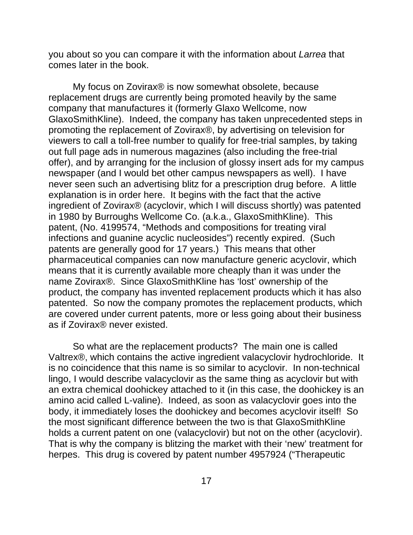you about so you can compare it with the information about *Larrea* that comes later in the book.

My focus on Zovirax® is now somewhat obsolete, because replacement drugs are currently being promoted heavily by the same company that manufactures it (formerly Glaxo Wellcome, now GlaxoSmithKline). Indeed, the company has taken unprecedented steps in promoting the replacement of Zovirax®, by advertising on television for viewers to call a toll-free number to qualify for free-trial samples, by taking out full page ads in numerous magazines (also including the free-trial offer), and by arranging for the inclusion of glossy insert ads for my campus newspaper (and I would bet other campus newspapers as well). I have never seen such an advertising blitz for a prescription drug before. A little explanation is in order here. It begins with the fact that the active ingredient of Zovirax® (acyclovir, which I will discuss shortly) was patented in 1980 by Burroughs Wellcome Co. (a.k.a., GlaxoSmithKline). This patent, (No. 4199574, "Methods and compositions for treating viral infections and guanine acyclic nucleosides") recently expired. (Such patents are generally good for 17 years.) This means that other pharmaceutical companies can now manufacture generic acyclovir, which means that it is currently available more cheaply than it was under the name Zovirax®. Since GlaxoSmithKline has 'lost' ownership of the product, the company has invented replacement products which it has also patented. So now the company promotes the replacement products, which are covered under current patents, more or less going about their business as if Zovirax® never existed.

So what are the replacement products? The main one is called Valtrex®, which contains the active ingredient valacyclovir hydrochloride. It is no coincidence that this name is so similar to acyclovir. In non-technical lingo, I would describe valacyclovir as the same thing as acyclovir but with an extra chemical doohickey attached to it (in this case, the doohickey is an amino acid called L-valine). Indeed, as soon as valacyclovir goes into the body, it immediately loses the doohickey and becomes acyclovir itself! So the most significant difference between the two is that GlaxoSmithKline holds a current patent on one (valacyclovir) but not on the other (acyclovir). That is why the company is blitzing the market with their 'new' treatment for herpes. This drug is covered by patent number 4957924 ("Therapeutic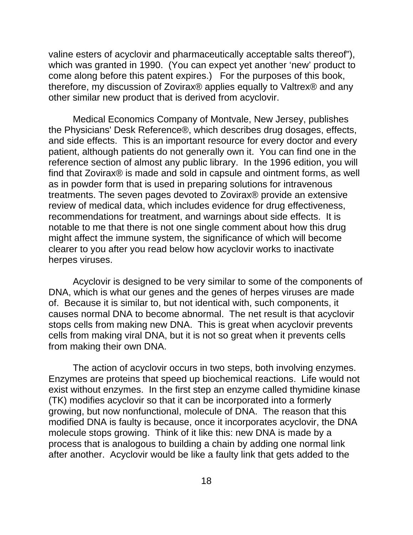valine esters of acyclovir and pharmaceutically acceptable salts thereof"), which was granted in 1990. (You can expect yet another 'new' product to come along before this patent expires.) For the purposes of this book, therefore, my discussion of Zovirax® applies equally to Valtrex® and any other similar new product that is derived from acyclovir.

Medical Economics Company of Montvale, New Jersey, publishes the Physicians' Desk Reference®, which describes drug dosages, effects, and side effects. This is an important resource for every doctor and every patient, although patients do not generally own it. You can find one in the reference section of almost any public library. In the 1996 edition, you will find that Zovirax® is made and sold in capsule and ointment forms, as well as in powder form that is used in preparing solutions for intravenous treatments. The seven pages devoted to Zovirax® provide an extensive review of medical data, which includes evidence for drug effectiveness, recommendations for treatment, and warnings about side effects. It is notable to me that there is not one single comment about how this drug might affect the immune system, the significance of which will become clearer to you after you read below how acyclovir works to inactivate herpes viruses.

Acyclovir is designed to be very similar to some of the components of DNA, which is what our genes and the genes of herpes viruses are made of. Because it is similar to, but not identical with, such components, it causes normal DNA to become abnormal. The net result is that acyclovir stops cells from making new DNA. This is great when acyclovir prevents cells from making viral DNA, but it is not so great when it prevents cells from making their own DNA.

The action of acyclovir occurs in two steps, both involving enzymes. Enzymes are proteins that speed up biochemical reactions. Life would not exist without enzymes. In the first step an enzyme called thymidine kinase (TK) modifies acyclovir so that it can be incorporated into a formerly growing, but now nonfunctional, molecule of DNA. The reason that this modified DNA is faulty is because, once it incorporates acyclovir, the DNA molecule stops growing. Think of it like this: new DNA is made by a process that is analogous to building a chain by adding one normal link after another. Acyclovir would be like a faulty link that gets added to the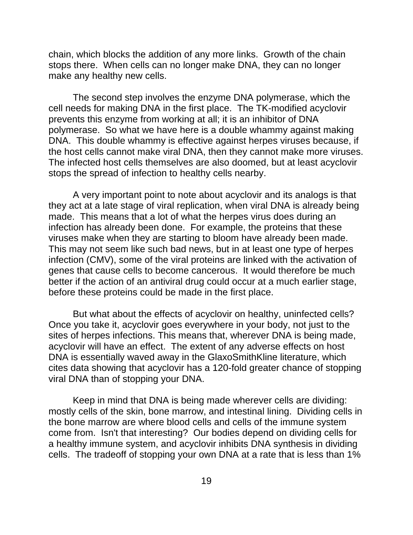chain, which blocks the addition of any more links. Growth of the chain stops there. When cells can no longer make DNA, they can no longer make any healthy new cells.

The second step involves the enzyme DNA polymerase, which the cell needs for making DNA in the first place. The TK-modified acyclovir prevents this enzyme from working at all; it is an inhibitor of DNA polymerase. So what we have here is a double whammy against making DNA. This double whammy is effective against herpes viruses because, if the host cells cannot make viral DNA, then they cannot make more viruses. The infected host cells themselves are also doomed, but at least acyclovir stops the spread of infection to healthy cells nearby.

A very important point to note about acyclovir and its analogs is that they act at a late stage of viral replication, when viral DNA is already being made. This means that a lot of what the herpes virus does during an infection has already been done. For example, the proteins that these viruses make when they are starting to bloom have already been made. This may not seem like such bad news, but in at least one type of herpes infection (CMV), some of the viral proteins are linked with the activation of genes that cause cells to become cancerous. It would therefore be much better if the action of an antiviral drug could occur at a much earlier stage, before these proteins could be made in the first place.

But what about the effects of acyclovir on healthy, uninfected cells? Once you take it, acyclovir goes everywhere in your body, not just to the sites of herpes infections. This means that, wherever DNA is being made, acyclovir will have an effect. The extent of any adverse effects on host DNA is essentially waved away in the GlaxoSmithKline literature, which cites data showing that acyclovir has a 120-fold greater chance of stopping viral DNA than of stopping your DNA.

Keep in mind that DNA is being made wherever cells are dividing: mostly cells of the skin, bone marrow, and intestinal lining. Dividing cells in the bone marrow are where blood cells and cells of the immune system come from. Isn't that interesting? Our bodies depend on dividing cells for a healthy immune system, and acyclovir inhibits DNA synthesis in dividing cells. The tradeoff of stopping your own DNA at a rate that is less than 1%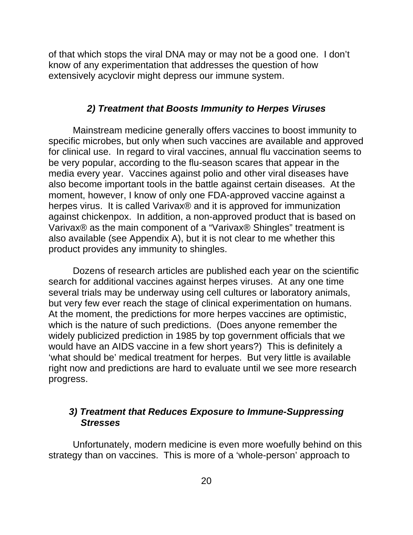of that which stops the viral DNA may or may not be a good one. I don't know of any experimentation that addresses the question of how extensively acyclovir might depress our immune system.

#### *2) Treatment that Boosts Immunity to Herpes Viruses*

Mainstream medicine generally offers vaccines to boost immunity to specific microbes, but only when such vaccines are available and approved for clinical use. In regard to viral vaccines, annual flu vaccination seems to be very popular, according to the flu-season scares that appear in the media every year. Vaccines against polio and other viral diseases have also become important tools in the battle against certain diseases. At the moment, however, I know of only one FDA-approved vaccine against a herpes virus. It is called Varivax® and it is approved for immunization against chickenpox. In addition, a non-approved product that is based on Varivax® as the main component of a "Varivax® Shingles" treatment is also available (see Appendix A), but it is not clear to me whether this product provides any immunity to shingles.

Dozens of research articles are published each year on the scientific search for additional vaccines against herpes viruses. At any one time several trials may be underway using cell cultures or laboratory animals, but very few ever reach the stage of clinical experimentation on humans. At the moment, the predictions for more herpes vaccines are optimistic, which is the nature of such predictions. (Does anyone remember the widely publicized prediction in 1985 by top government officials that we would have an AIDS vaccine in a few short years?) This is definitely a 'what should be' medical treatment for herpes. But very little is available right now and predictions are hard to evaluate until we see more research progress.

## *3) Treatment that Reduces Exposure to Immune-Suppressing Stresses*

Unfortunately, modern medicine is even more woefully behind on this strategy than on vaccines. This is more of a 'whole-person' approach to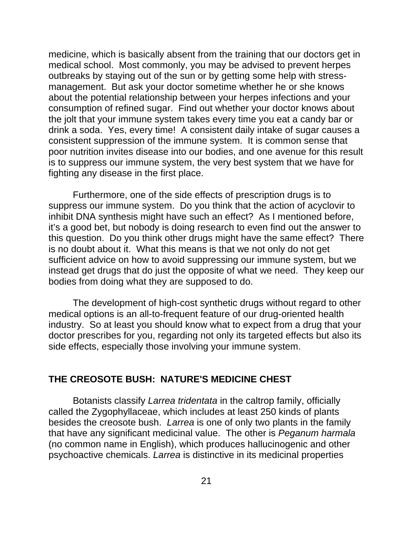medicine, which is basically absent from the training that our doctors get in medical school. Most commonly, you may be advised to prevent herpes outbreaks by staying out of the sun or by getting some help with stressmanagement. But ask your doctor sometime whether he or she knows about the potential relationship between your herpes infections and your consumption of refined sugar. Find out whether your doctor knows about the jolt that your immune system takes every time you eat a candy bar or drink a soda. Yes, every time! A consistent daily intake of sugar causes a consistent suppression of the immune system. It is common sense that poor nutrition invites disease into our bodies, and one avenue for this result is to suppress our immune system, the very best system that we have for fighting any disease in the first place.

Furthermore, one of the side effects of prescription drugs is to suppress our immune system. Do you think that the action of acyclovir to inhibit DNA synthesis might have such an effect? As I mentioned before, it's a good bet, but nobody is doing research to even find out the answer to this question. Do you think other drugs might have the same effect? There is no doubt about it. What this means is that we not only do not get sufficient advice on how to avoid suppressing our immune system, but we instead get drugs that do just the opposite of what we need. They keep our bodies from doing what they are supposed to do.

The development of high-cost synthetic drugs without regard to other medical options is an all-to-frequent feature of our drug-oriented health industry. So at least you should know what to expect from a drug that your doctor prescribes for you, regarding not only its targeted effects but also its side effects, especially those involving your immune system.

#### **THE CREOSOTE BUSH: NATURE'S MEDICINE CHEST**

Botanists classify *Larrea tridentata* in the caltrop family, officially called the Zygophyllaceae, which includes at least 250 kinds of plants besides the creosote bush. *Larrea* is one of only two plants in the family that have any significant medicinal value. The other is *Peganum harmala* (no common name in English), which produces hallucinogenic and other psychoactive chemicals. *Larrea* is distinctive in its medicinal properties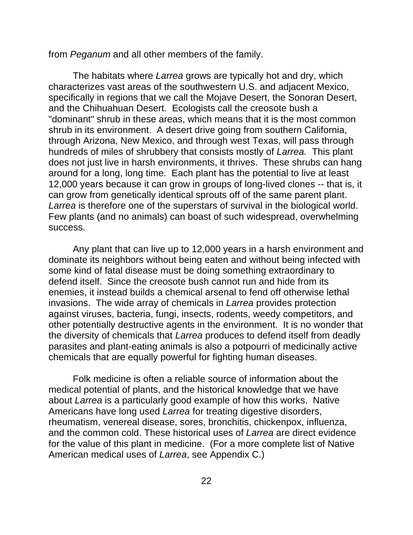from *Peganum* and all other members of the family.

The habitats where *Larrea* grows are typically hot and dry, which characterizes vast areas of the southwestern U.S. and adjacent Mexico, specifically in regions that we call the Mojave Desert, the Sonoran Desert, and the Chihuahuan Desert. Ecologists call the creosote bush a "dominant" shrub in these areas, which means that it is the most common shrub in its environment. A desert drive going from southern California, through Arizona, New Mexico, and through west Texas, will pass through hundreds of miles of shrubbery that consists mostly of *Larrea.* This plant does not just live in harsh environments, it thrives. These shrubs can hang around for a long, long time. Each plant has the potential to live at least 12,000 years because it can grow in groups of long-lived clones -- that is, it can grow from genetically identical sprouts off of the same parent plant. *Larrea* is therefore one of the superstars of survival in the biological world. Few plants (and no animals) can boast of such widespread, overwhelming success.

Any plant that can live up to 12,000 years in a harsh environment and dominate its neighbors without being eaten and without being infected with some kind of fatal disease must be doing something extraordinary to defend itself. Since the creosote bush cannot run and hide from its enemies, it instead builds a chemical arsenal to fend off otherwise lethal invasions. The wide array of chemicals in *Larrea* provides protection against viruses, bacteria, fungi, insects, rodents, weedy competitors, and other potentially destructive agents in the environment. It is no wonder that the diversity of chemicals that *Larrea* produces to defend itself from deadly parasites and plant-eating animals is also a potpourri of medicinally active chemicals that are equally powerful for fighting human diseases.

Folk medicine is often a reliable source of information about the medical potential of plants, and the historical knowledge that we have about *Larrea* is a particularly good example of how this works. Native Americans have long used *Larrea* for treating digestive disorders, rheumatism, venereal disease, sores, bronchitis, chickenpox, influenza, and the common cold. These historical uses of *Larrea* are direct evidence for the value of this plant in medicine. (For a more complete list of Native American medical uses of *Larrea*, see Appendix C.)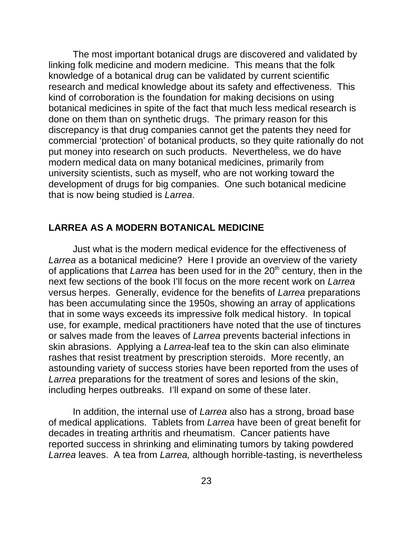The most important botanical drugs are discovered and validated by linking folk medicine and modern medicine. This means that the folk knowledge of a botanical drug can be validated by current scientific research and medical knowledge about its safety and effectiveness. This kind of corroboration is the foundation for making decisions on using botanical medicines in spite of the fact that much less medical research is done on them than on synthetic drugs. The primary reason for this discrepancy is that drug companies cannot get the patents they need for commercial 'protection' of botanical products, so they quite rationally do not put money into research on such products. Nevertheless, we do have modern medical data on many botanical medicines, primarily from university scientists, such as myself, who are not working toward the development of drugs for big companies. One such botanical medicine that is now being studied is *Larrea*.

## **LARREA AS A MODERN BOTANICAL MEDICINE**

Just what is the modern medical evidence for the effectiveness of *Larrea* as a botanical medicine? Here I provide an overview of the variety of applications that *Larrea* has been used for in the 20<sup>th</sup> century, then in the next few sections of the book I'll focus on the more recent work on *Larrea* versus herpes. Generally, evidence for the benefits of *Larrea* preparations has been accumulating since the 1950s, showing an array of applications that in some ways exceeds its impressive folk medical history. In topical use, for example, medical practitioners have noted that the use of tinctures or salves made from the leaves of *Larrea* prevents bacterial infections in skin abrasions. Applying a *Larrea*-leaf tea to the skin can also eliminate rashes that resist treatment by prescription steroids. More recently, an astounding variety of success stories have been reported from the uses of *Larrea* preparations for the treatment of sores and lesions of the skin, including herpes outbreaks. I'll expand on some of these later.

In addition, the internal use of *Larrea* also has a strong, broad base of medical applications. Tablets from *Larrea* have been of great benefit for decades in treating arthritis and rheumatism. Cancer patients have reported success in shrinking and eliminating tumors by taking powdered *Larrea* leaves. A tea from *Larrea,* although horrible-tasting, is nevertheless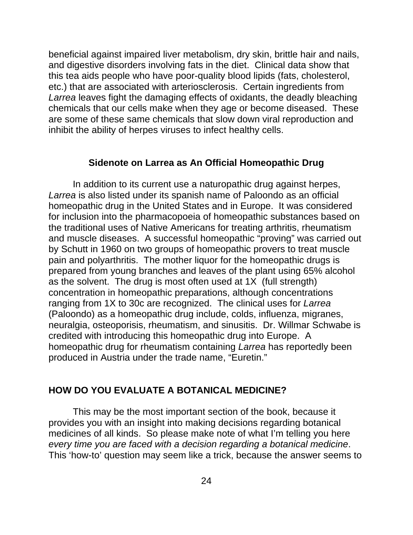beneficial against impaired liver metabolism, dry skin, brittle hair and nails, and digestive disorders involving fats in the diet. Clinical data show that this tea aids people who have poor-quality blood lipids (fats, cholesterol, etc.) that are associated with arteriosclerosis. Certain ingredients from *Larrea* leaves fight the damaging effects of oxidants, the deadly bleaching chemicals that our cells make when they age or become diseased. These are some of these same chemicals that slow down viral reproduction and inhibit the ability of herpes viruses to infect healthy cells.

#### **Sidenote on Larrea as An Official Homeopathic Drug**

In addition to its current use a naturopathic drug against herpes, *Larrea* is also listed under its spanish name of Paloondo as an official homeopathic drug in the United States and in Europe. It was considered for inclusion into the pharmacopoeia of homeopathic substances based on the traditional uses of Native Americans for treating arthritis, rheumatism and muscle diseases. A successful homeopathic "proving" was carried out by Schutt in 1960 on two groups of homeopathic provers to treat muscle pain and polyarthritis. The mother liquor for the homeopathic drugs is prepared from young branches and leaves of the plant using 65% alcohol as the solvent. The drug is most often used at 1X (full strength) concentration in homeopathic preparations, although concentrations ranging from 1X to 30c are recognized. The clinical uses for *Larrea* (Paloondo) as a homeopathic drug include, colds, influenza, migranes, neuralgia, osteoporisis, rheumatism, and sinusitis. Dr. Willmar Schwabe is credited with introducing this homeopathic drug into Europe. A homeopathic drug for rheumatism containing *Larrea* has reportedly been produced in Austria under the trade name, "Euretin."

#### **HOW DO YOU EVALUATE A BOTANICAL MEDICINE?**

This may be the most important section of the book, because it provides you with an insight into making decisions regarding botanical medicines of all kinds. So please make note of what I'm telling you here *every time you are faced with a decision regarding a botanical medicine*. This 'how-to' question may seem like a trick, because the answer seems to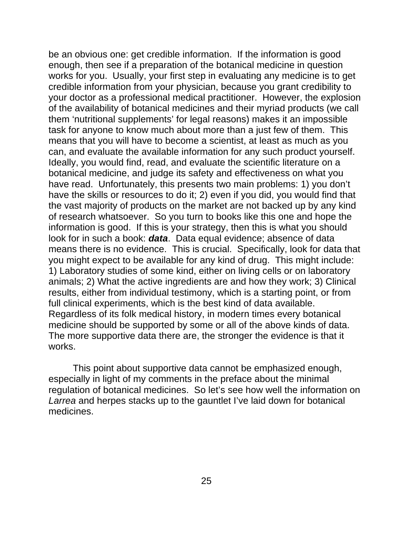be an obvious one: get credible information. If the information is good enough, then see if a preparation of the botanical medicine in question works for you. Usually, your first step in evaluating any medicine is to get credible information from your physician, because you grant credibility to your doctor as a professional medical practitioner. However, the explosion of the availability of botanical medicines and their myriad products (we call them 'nutritional supplements' for legal reasons) makes it an impossible task for anyone to know much about more than a just few of them. This means that you will have to become a scientist, at least as much as you can, and evaluate the available information for any such product yourself. Ideally, you would find, read, and evaluate the scientific literature on a botanical medicine, and judge its safety and effectiveness on what you have read. Unfortunately, this presents two main problems: 1) you don't have the skills or resources to do it; 2) even if you did, you would find that the vast majority of products on the market are not backed up by any kind of research whatsoever. So you turn to books like this one and hope the information is good. If this is your strategy, then this is what you should look for in such a book: *data*. Data equal evidence; absence of data means there is no evidence. This is crucial. Specifically, look for data that you might expect to be available for any kind of drug. This might include: 1) Laboratory studies of some kind, either on living cells or on laboratory animals; 2) What the active ingredients are and how they work; 3) Clinical results, either from individual testimony, which is a starting point, or from full clinical experiments, which is the best kind of data available. Regardless of its folk medical history, in modern times every botanical medicine should be supported by some or all of the above kinds of data. The more supportive data there are, the stronger the evidence is that it works.

This point about supportive data cannot be emphasized enough, especially in light of my comments in the preface about the minimal regulation of botanical medicines. So let's see how well the information on *Larrea* and herpes stacks up to the gauntlet I've laid down for botanical medicines.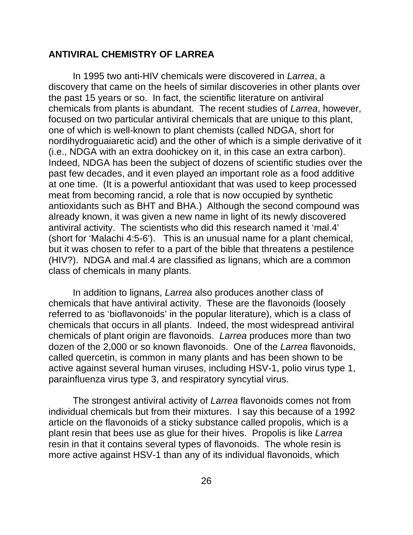#### **ANTIVIRAL CHEMISTRY OF LARREA**

In 1995 two anti-HIV chemicals were discovered in *Larrea*, a discovery that came on the heels of similar discoveries in other plants over the past 15 years or so. In fact, the scientific literature on antiviral chemicals from plants is abundant. The recent studies of *Larrea*, however, focused on two particular antiviral chemicals that are unique to this plant, one of which is well-known to plant chemists (called NDGA, short for nordihydroguaiaretic acid) and the other of which is a simple derivative of it (i.e., NDGA with an extra doohickey on it, in this case an extra carbon). Indeed, NDGA has been the subject of dozens of scientific studies over the past few decades, and it even played an important role as a food additive at one time. (It is a powerful antioxidant that was used to keep processed meat from becoming rancid, a role that is now occupied by synthetic antioxidants such as BHT and BHA.) Although the second compound was already known, it was given a new name in light of its newly discovered antiviral activity. The scientists who did this research named it 'mal.4' (short for 'Malachi 4:5-6'). This is an unusual name for a plant chemical, but it was chosen to refer to a part of the bible that threatens a pestilence (HIV?). NDGA and mal.4 are classified as lignans, which are a common class of chemicals in many plants.

In addition to lignans, *Larrea* also produces another class of chemicals that have antiviral activity. These are the flavonoids (loosely referred to as 'bioflavonoids' in the popular literature), which is a class of chemicals that occurs in all plants. Indeed, the most widespread antiviral chemicals of plant origin are flavonoids. *Larrea* produces more than two dozen of the 2,000 or so known flavonoids. One of the *Larrea* flavonoids, called quercetin, is common in many plants and has been shown to be active against several human viruses, including HSV-1, polio virus type 1, parainfluenza virus type 3, and respiratory syncytial virus.

The strongest antiviral activity of *Larrea* flavonoids comes not from individual chemicals but from their mixtures. I say this because of a 1992 article on the flavonoids of a sticky substance called propolis, which is a plant resin that bees use as glue for their hives. Propolis is like *Larrea* resin in that it contains several types of flavonoids. The whole resin is more active against HSV-1 than any of its individual flavonoids, which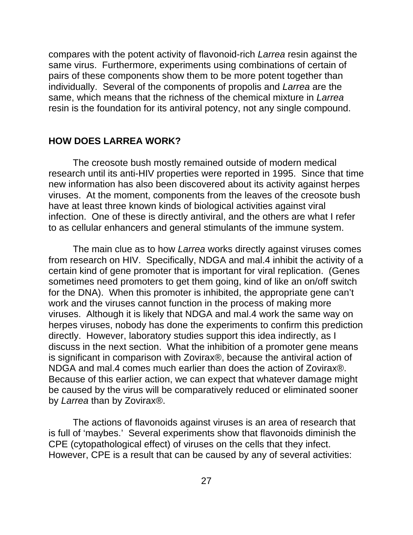compares with the potent activity of flavonoid-rich *Larrea* resin against the same virus. Furthermore, experiments using combinations of certain of pairs of these components show them to be more potent together than individually. Several of the components of propolis and *Larrea* are the same, which means that the richness of the chemical mixture in *Larrea* resin is the foundation for its antiviral potency, not any single compound.

#### **HOW DOES LARREA WORK?**

The creosote bush mostly remained outside of modern medical research until its anti-HIV properties were reported in 1995. Since that time new information has also been discovered about its activity against herpes viruses. At the moment, components from the leaves of the creosote bush have at least three known kinds of biological activities against viral infection. One of these is directly antiviral, and the others are what I refer to as cellular enhancers and general stimulants of the immune system.

The main clue as to how *Larrea* works directly against viruses comes from research on HIV. Specifically, NDGA and mal.4 inhibit the activity of a certain kind of gene promoter that is important for viral replication. (Genes sometimes need promoters to get them going, kind of like an on/off switch for the DNA). When this promoter is inhibited, the appropriate gene can't work and the viruses cannot function in the process of making more viruses. Although it is likely that NDGA and mal.4 work the same way on herpes viruses, nobody has done the experiments to confirm this prediction directly. However, laboratory studies support this idea indirectly, as I discuss in the next section. What the inhibition of a promoter gene means is significant in comparison with Zovirax®, because the antiviral action of NDGA and mal.4 comes much earlier than does the action of Zovirax®. Because of this earlier action, we can expect that whatever damage might be caused by the virus will be comparatively reduced or eliminated sooner by *Larrea* than by Zovirax®.

The actions of flavonoids against viruses is an area of research that is full of 'maybes.' Several experiments show that flavonoids diminish the CPE (cytopathological effect) of viruses on the cells that they infect. However, CPE is a result that can be caused by any of several activities: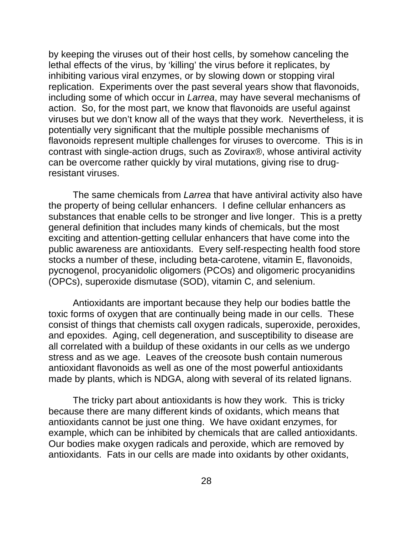by keeping the viruses out of their host cells, by somehow canceling the lethal effects of the virus, by 'killing' the virus before it replicates, by inhibiting various viral enzymes, or by slowing down or stopping viral replication. Experiments over the past several years show that flavonoids, including some of which occur in *Larrea*, may have several mechanisms of action. So, for the most part, we know that flavonoids are useful against viruses but we don't know all of the ways that they work. Nevertheless, it is potentially very significant that the multiple possible mechanisms of flavonoids represent multiple challenges for viruses to overcome. This is in contrast with single-action drugs, such as Zovirax®, whose antiviral activity can be overcome rather quickly by viral mutations, giving rise to drugresistant viruses.

The same chemicals from *Larrea* that have antiviral activity also have the property of being cellular enhancers. I define cellular enhancers as substances that enable cells to be stronger and live longer. This is a pretty general definition that includes many kinds of chemicals, but the most exciting and attention-getting cellular enhancers that have come into the public awareness are antioxidants. Every self-respecting health food store stocks a number of these, including beta-carotene, vitamin E, flavonoids, pycnogenol, procyanidolic oligomers (PCOs) and oligomeric procyanidins (OPCs), superoxide dismutase (SOD), vitamin C, and selenium.

Antioxidants are important because they help our bodies battle the toxic forms of oxygen that are continually being made in our cells. These consist of things that chemists call oxygen radicals, superoxide, peroxides, and epoxides. Aging, cell degeneration, and susceptibility to disease are all correlated with a buildup of these oxidants in our cells as we undergo stress and as we age. Leaves of the creosote bush contain numerous antioxidant flavonoids as well as one of the most powerful antioxidants made by plants, which is NDGA, along with several of its related lignans.

The tricky part about antioxidants is how they work. This is tricky because there are many different kinds of oxidants, which means that antioxidants cannot be just one thing. We have oxidant enzymes, for example, which can be inhibited by chemicals that are called antioxidants. Our bodies make oxygen radicals and peroxide, which are removed by antioxidants. Fats in our cells are made into oxidants by other oxidants,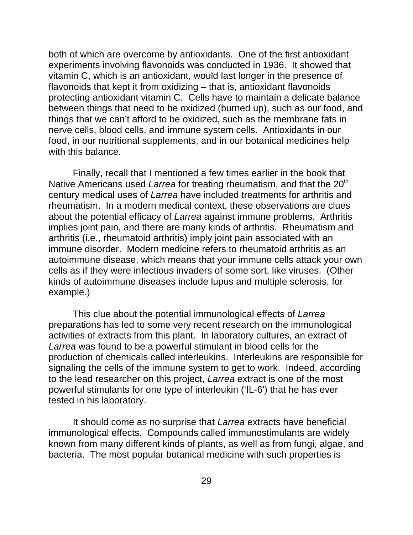both of which are overcome by antioxidants. One of the first antioxidant experiments involving flavonoids was conducted in 1936. It showed that vitamin C, which is an antioxidant, would last longer in the presence of flavonoids that kept it from oxidizing – that is, antioxidant flavonoids protecting antioxidant vitamin C. Cells have to maintain a delicate balance between things that need to be oxidized (burned up), such as our food, and things that we can't afford to be oxidized, such as the membrane fats in nerve cells, blood cells, and immune system cells. Antioxidants in our food, in our nutritional supplements, and in our botanical medicines help with this balance.

Finally, recall that I mentioned a few times earlier in the book that Native Americans used *Larrea* for treating rheumatism, and that the 20<sup>th</sup> century medical uses of *Larrea* have included treatments for arthritis and rheumatism. In a modern medical context, these observations are clues about the potential efficacy of *Larrea* against immune problems. Arthritis implies joint pain, and there are many kinds of arthritis. Rheumatism and arthritis (i.e., rheumatoid arthritis) imply joint pain associated with an immune disorder. Modern medicine refers to rheumatoid arthritis as an autoimmune disease, which means that your immune cells attack your own cells as if they were infectious invaders of some sort, like viruses. (Other kinds of autoimmune diseases include lupus and multiple sclerosis, for example.)

This clue about the potential immunological effects of *Larrea* preparations has led to some very recent research on the immunological activities of extracts from this plant. In laboratory cultures, an extract of *Larrea* was found to be a powerful stimulant in blood cells for the production of chemicals called interleukins. Interleukins are responsible for signaling the cells of the immune system to get to work. Indeed, according to the lead researcher on this project, *Larrea* extract is one of the most powerful stimulants for one type of interleukin ('IL-6') that he has ever tested in his laboratory.

It should come as no surprise that *Larrea* extracts have beneficial immunological effects. Compounds called immunostimulants are widely known from many different kinds of plants, as well as from fungi, algae, and bacteria. The most popular botanical medicine with such properties is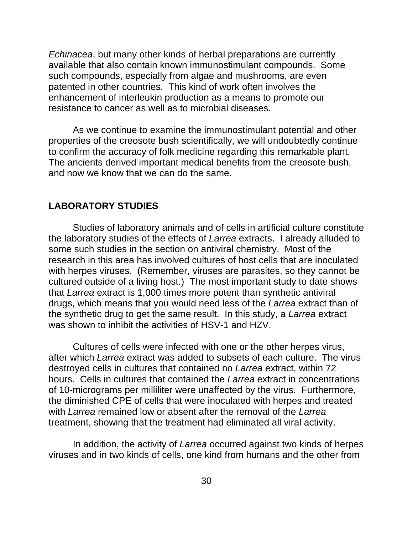*Echinacea*, but many other kinds of herbal preparations are currently available that also contain known immunostimulant compounds. Some such compounds, especially from algae and mushrooms, are even patented in other countries. This kind of work often involves the enhancement of interleukin production as a means to promote our resistance to cancer as well as to microbial diseases.

As we continue to examine the immunostimulant potential and other properties of the creosote bush scientifically, we will undoubtedly continue to confirm the accuracy of folk medicine regarding this remarkable plant. The ancients derived important medical benefits from the creosote bush, and now we know that we can do the same.

#### **LABORATORY STUDIES**

Studies of laboratory animals and of cells in artificial culture constitute the laboratory studies of the effects of *Larrea* extracts. I already alluded to some such studies in the section on antiviral chemistry. Most of the research in this area has involved cultures of host cells that are inoculated with herpes viruses. (Remember, viruses are parasites, so they cannot be cultured outside of a living host.) The most important study to date shows that *Larrea* extract is 1,000 times more potent than synthetic antiviral drugs, which means that you would need less of the *Larrea* extract than of the synthetic drug to get the same result. In this study, a *Larrea* extract was shown to inhibit the activities of HSV-1 and HZV.

Cultures of cells were infected with one or the other herpes virus, after which *Larrea* extract was added to subsets of each culture. The virus destroyed cells in cultures that contained no *Larrea* extract, within 72 hours. Cells in cultures that contained the *Larrea* extract in concentrations of 10-micrograms per milliliter were unaffected by the virus. Furthermore, the diminished CPE of cells that were inoculated with herpes and treated with *Larrea* remained low or absent after the removal of the *Larrea* treatment, showing that the treatment had eliminated all viral activity.

In addition, the activity of *Larrea* occurred against two kinds of herpes viruses and in two kinds of cells, one kind from humans and the other from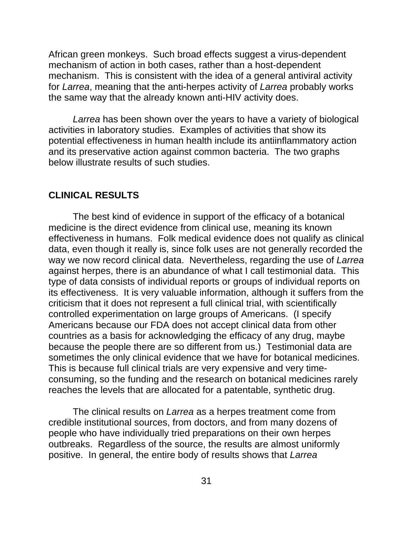African green monkeys. Such broad effects suggest a virus-dependent mechanism of action in both cases, rather than a host-dependent mechanism. This is consistent with the idea of a general antiviral activity for *Larrea*, meaning that the anti-herpes activity of *Larrea* probably works the same way that the already known anti-HIV activity does.

*Larrea* has been shown over the years to have a variety of biological activities in laboratory studies. Examples of activities that show its potential effectiveness in human health include its antiinflammatory action and its preservative action against common bacteria. The two graphs below illustrate results of such studies.

#### **CLINICAL RESULTS**

The best kind of evidence in support of the efficacy of a botanical medicine is the direct evidence from clinical use, meaning its known effectiveness in humans. Folk medical evidence does not qualify as clinical data, even though it really is, since folk uses are not generally recorded the way we now record clinical data. Nevertheless, regarding the use of *Larrea* against herpes, there is an abundance of what I call testimonial data. This type of data consists of individual reports or groups of individual reports on its effectiveness. It is very valuable information, although it suffers from the criticism that it does not represent a full clinical trial, with scientifically controlled experimentation on large groups of Americans. (I specify Americans because our FDA does not accept clinical data from other countries as a basis for acknowledging the efficacy of any drug, maybe because the people there are so different from us.) Testimonial data are sometimes the only clinical evidence that we have for botanical medicines. This is because full clinical trials are very expensive and very timeconsuming, so the funding and the research on botanical medicines rarely reaches the levels that are allocated for a patentable, synthetic drug.

The clinical results on *Larrea* as a herpes treatment come from credible institutional sources, from doctors, and from many dozens of people who have individually tried preparations on their own herpes outbreaks. Regardless of the source, the results are almost uniformly positive. In general, the entire body of results shows that *Larrea*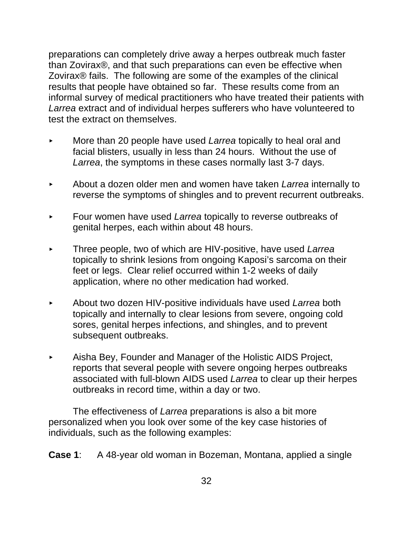preparations can completely drive away a herpes outbreak much faster than Zovirax®, and that such preparations can even be effective when Zovirax® fails. The following are some of the examples of the clinical results that people have obtained so far. These results come from an informal survey of medical practitioners who have treated their patients with *Larrea* extract and of individual herpes sufferers who have volunteered to test the extract on themselves.

- < More than 20 people have used *Larrea* topically to heal oral and facial blisters, usually in less than 24 hours. Without the use of *Larrea*, the symptoms in these cases normally last 3-7 days.
- < About a dozen older men and women have taken *Larrea* internally to reverse the symptoms of shingles and to prevent recurrent outbreaks.
- < Four women have used *Larrea* topically to reverse outbreaks of genital herpes, each within about 48 hours.
- < Three people, two of which are HIV-positive, have used *Larrea* topically to shrink lesions from ongoing Kaposi's sarcoma on their feet or legs. Clear relief occurred within 1-2 weeks of daily application, where no other medication had worked.
- < About two dozen HIV-positive individuals have used *Larrea* both topically and internally to clear lesions from severe, ongoing cold sores, genital herpes infections, and shingles, and to prevent subsequent outbreaks.
- < Aisha Bey, Founder and Manager of the Holistic AIDS Project, reports that several people with severe ongoing herpes outbreaks associated with full-blown AIDS used *Larrea* to clear up their herpes outbreaks in record time, within a day or two.

The effectiveness of *Larrea* preparations is also a bit more personalized when you look over some of the key case histories of individuals, such as the following examples:

**Case 1**: A 48-year old woman in Bozeman, Montana, applied a single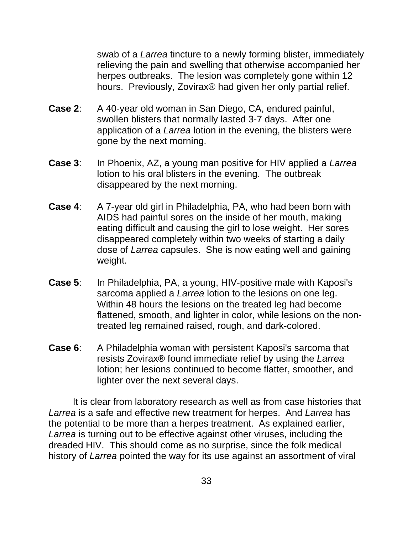swab of a *Larrea* tincture to a newly forming blister, immediately relieving the pain and swelling that otherwise accompanied her herpes outbreaks. The lesion was completely gone within 12 hours. Previously, Zovirax® had given her only partial relief.

- **Case 2**: A 40-year old woman in San Diego, CA, endured painful, swollen blisters that normally lasted 3-7 days. After one application of a *Larrea* lotion in the evening, the blisters were gone by the next morning.
- **Case 3**: In Phoenix, AZ, a young man positive for HIV applied a *Larrea* lotion to his oral blisters in the evening. The outbreak disappeared by the next morning.
- **Case 4**: A 7-year old girl in Philadelphia, PA, who had been born with AIDS had painful sores on the inside of her mouth, making eating difficult and causing the girl to lose weight. Her sores disappeared completely within two weeks of starting a daily dose of *Larrea* capsules. She is now eating well and gaining weight.
- **Case 5**: In Philadelphia, PA, a young, HIV-positive male with Kaposi's sarcoma applied a *Larrea* lotion to the lesions on one leg. Within 48 hours the lesions on the treated leg had become flattened, smooth, and lighter in color, while lesions on the nontreated leg remained raised, rough, and dark-colored.
- **Case 6:** A Philadelphia woman with persistent Kaposi's sarcoma that resists Zovirax® found immediate relief by using the *Larrea* lotion; her lesions continued to become flatter, smoother, and lighter over the next several days.

It is clear from laboratory research as well as from case histories that *Larrea* is a safe and effective new treatment for herpes. And *Larrea* has the potential to be more than a herpes treatment. As explained earlier, Larrea is turning out to be effective against other viruses, including the dreaded HIV. This should come as no surprise, since the folk medical history of *Larrea* pointed the way for its use against an assortment of viral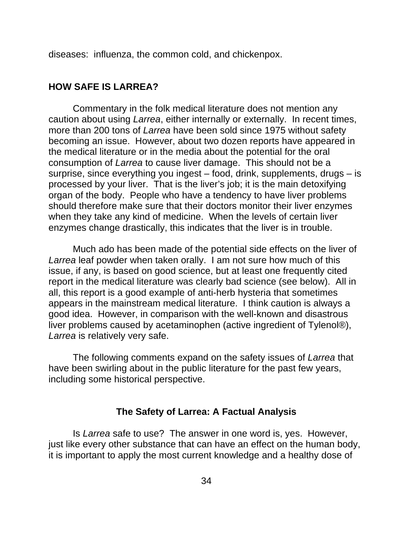diseases: influenza, the common cold, and chickenpox.

#### **HOW SAFE IS LARREA?**

Commentary in the folk medical literature does not mention any caution about using *Larrea*, either internally or externally. In recent times, more than 200 tons of *Larrea* have been sold since 1975 without safety becoming an issue. However, about two dozen reports have appeared in the medical literature or in the media about the potential for the oral consumption of *Larrea* to cause liver damage. This should not be a surprise, since everything you ingest – food, drink, supplements, drugs – is processed by your liver. That is the liver's job; it is the main detoxifying organ of the body. People who have a tendency to have liver problems should therefore make sure that their doctors monitor their liver enzymes when they take any kind of medicine. When the levels of certain liver enzymes change drastically, this indicates that the liver is in trouble.

Much ado has been made of the potential side effects on the liver of *Larrea* leaf powder when taken orally. I am not sure how much of this issue, if any, is based on good science, but at least one frequently cited report in the medical literature was clearly bad science (see below). All in all, this report is a good example of anti-herb hysteria that sometimes appears in the mainstream medical literature. I think caution is always a good idea. However, in comparison with the well-known and disastrous liver problems caused by acetaminophen (active ingredient of Tylenol®), *Larrea* is relatively very safe.

The following comments expand on the safety issues of *Larrea* that have been swirling about in the public literature for the past few years, including some historical perspective.

### **The Safety of Larrea: A Factual Analysis**

Is *Larrea* safe to use? The answer in one word is, yes. However, just like every other substance that can have an effect on the human body, it is important to apply the most current knowledge and a healthy dose of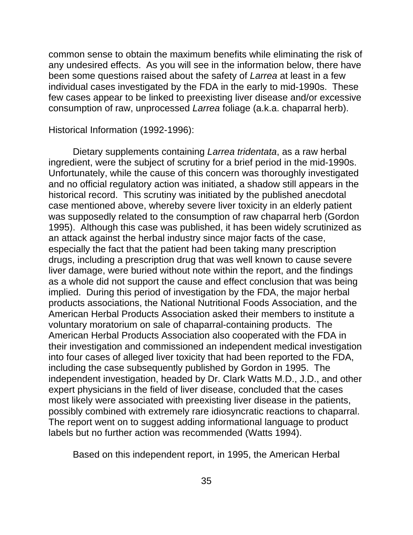common sense to obtain the maximum benefits while eliminating the risk of any undesired effects. As you will see in the information below, there have been some questions raised about the safety of *Larrea* at least in a few individual cases investigated by the FDA in the early to mid-1990s. These few cases appear to be linked to preexisting liver disease and/or excessive consumption of raw, unprocessed *Larrea* foliage (a.k.a. chaparral herb).

Historical Information (1992-1996):

Dietary supplements containing *Larrea tridentata*, as a raw herbal ingredient, were the subject of scrutiny for a brief period in the mid-1990s. Unfortunately, while the cause of this concern was thoroughly investigated and no official regulatory action was initiated, a shadow still appears in the historical record. This scrutiny was initiated by the published anecdotal case mentioned above, whereby severe liver toxicity in an elderly patient was supposedly related to the consumption of raw chaparral herb (Gordon 1995). Although this case was published, it has been widely scrutinized as an attack against the herbal industry since major facts of the case, especially the fact that the patient had been taking many prescription drugs, including a prescription drug that was well known to cause severe liver damage, were buried without note within the report, and the findings as a whole did not support the cause and effect conclusion that was being implied. During this period of investigation by the FDA, the major herbal products associations, the National Nutritional Foods Association, and the American Herbal Products Association asked their members to institute a voluntary moratorium on sale of chaparral-containing products. The American Herbal Products Association also cooperated with the FDA in their investigation and commissioned an independent medical investigation into four cases of alleged liver toxicity that had been reported to the FDA, including the case subsequently published by Gordon in 1995. The independent investigation, headed by Dr. Clark Watts M.D., J.D., and other expert physicians in the field of liver disease, concluded that the cases most likely were associated with preexisting liver disease in the patients, possibly combined with extremely rare idiosyncratic reactions to chaparral. The report went on to suggest adding informational language to product labels but no further action was recommended (Watts 1994).

Based on this independent report, in 1995, the American Herbal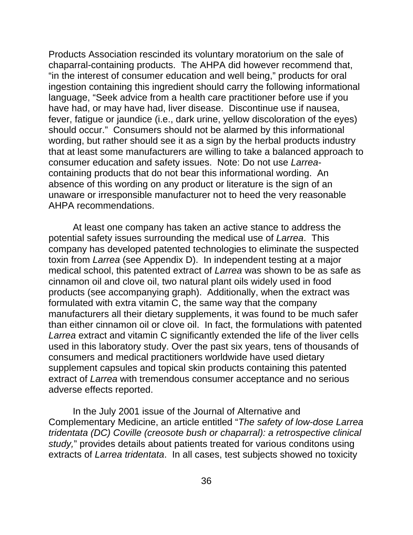Products Association rescinded its voluntary moratorium on the sale of chaparral-containing products. The AHPA did however recommend that, "in the interest of consumer education and well being," products for oral ingestion containing this ingredient should carry the following informational language, "Seek advice from a health care practitioner before use if you have had, or may have had, liver disease. Discontinue use if nausea, fever, fatigue or jaundice (i.e., dark urine, yellow discoloration of the eyes) should occur." Consumers should not be alarmed by this informational wording, but rather should see it as a sign by the herbal products industry that at least some manufacturers are willing to take a balanced approach to consumer education and safety issues. Note: Do not use *Larrea*containing products that do not bear this informational wording. An absence of this wording on any product or literature is the sign of an unaware or irresponsible manufacturer not to heed the very reasonable AHPA recommendations.

At least one company has taken an active stance to address the potential safety issues surrounding the medical use of *Larrea*. This company has developed patented technologies to eliminate the suspected toxin from *Larrea* (see Appendix D). In independent testing at a major medical school, this patented extract of *Larrea* was shown to be as safe as cinnamon oil and clove oil, two natural plant oils widely used in food products (see accompanying graph). Additionally, when the extract was formulated with extra vitamin C, the same way that the company manufacturers all their dietary supplements, it was found to be much safer than either cinnamon oil or clove oil. In fact, the formulations with patented *Larrea* extract and vitamin C significantly extended the life of the liver cells used in this laboratory study. Over the past six years, tens of thousands of consumers and medical practitioners worldwide have used dietary supplement capsules and topical skin products containing this patented extract of *Larrea* with tremendous consumer acceptance and no serious adverse effects reported.

In the July 2001 issue of the Journal of Alternative and Complementary Medicine, an article entitled "*The safety of low-dose Larrea tridentata (DC) Coville (creosote bush or chaparral): a retrospective clinical study,*" provides details about patients treated for various conditons using extracts of *Larrea tridentata*. In all cases, test subjects showed no toxicity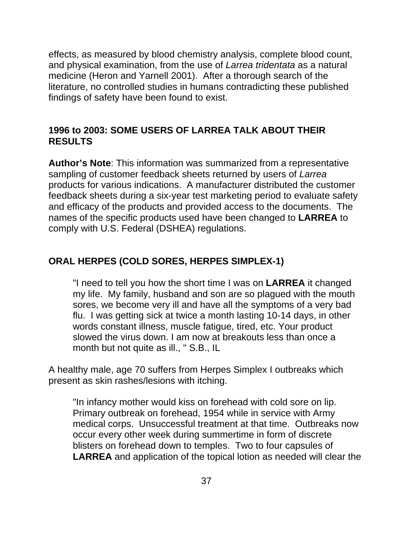effects, as measured by blood chemistry analysis, complete blood count, and physical examination, from the use of *Larrea tridentata* as a natural medicine (Heron and Yarnell 2001). After a thorough search of the literature, no controlled studies in humans contradicting these published findings of safety have been found to exist.

## **1996 to 2003: SOME USERS OF LARREA TALK ABOUT THEIR RESULTS**

**Author's Note**: This information was summarized from a representative sampling of customer feedback sheets returned by users of *Larrea* products for various indications. A manufacturer distributed the customer feedback sheets during a six-year test marketing period to evaluate safety and efficacy of the products and provided access to the documents. The names of the specific products used have been changed to **LARREA** to comply with U.S. Federal (DSHEA) regulations.

## **ORAL HERPES (COLD SORES, HERPES SIMPLEX-1)**

"I need to tell you how the short time I was on **LARREA** it changed my life. My family, husband and son are so plagued with the mouth sores, we become very ill and have all the symptoms of a very bad flu. I was getting sick at twice a month lasting 10-14 days, in other words constant illness, muscle fatigue, tired, etc. Your product slowed the virus down. I am now at breakouts less than once a month but not quite as ill., " S.B., IL

A healthy male, age 70 suffers from Herpes Simplex I outbreaks which present as skin rashes/lesions with itching.

"In infancy mother would kiss on forehead with cold sore on lip. Primary outbreak on forehead, 1954 while in service with Army medical corps. Unsuccessful treatment at that time. Outbreaks now occur every other week during summertime in form of discrete blisters on forehead down to temples. Two to four capsules of **LARREA** and application of the topical lotion as needed will clear the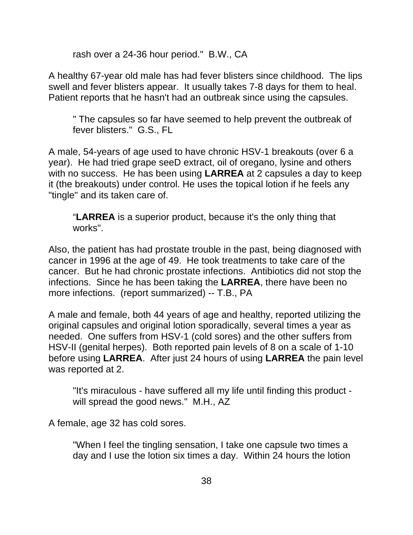rash over a 24-36 hour period." B.W., CA

A healthy 67-year old male has had fever blisters since childhood. The lips swell and fever blisters appear. It usually takes 7-8 days for them to heal. Patient reports that he hasn't had an outbreak since using the capsules.

" The capsules so far have seemed to help prevent the outbreak of fever blisters." G.S., FL

A male, 54-years of age used to have chronic HSV-1 breakouts (over 6 a year). He had tried grape seeD extract, oil of oregano, lysine and others with no success. He has been using **LARREA** at 2 capsules a day to keep it (the breakouts) under control. He uses the topical lotion if he feels any "tingle" and its taken care of.

"**LARREA** is a superior product, because it's the only thing that works".

Also, the patient has had prostate trouble in the past, being diagnosed with cancer in 1996 at the age of 49. He took treatments to take care of the cancer. But he had chronic prostate infections. Antibiotics did not stop the infections. Since he has been taking the **LARREA**, there have been no more infections. (report summarized) -- T.B., PA

A male and female, both 44 years of age and healthy, reported utilizing the original capsules and original lotion sporadically, several times a year as needed. One suffers from HSV-1 (cold sores) and the other suffers from HSV-II (genital herpes). Both reported pain levels of 8 on a scale of 1-10 before using **LARREA**. After just 24 hours of using **LARREA** the pain level was reported at 2.

"It's miraculous - have suffered all my life until finding this product will spread the good news." M.H., AZ

A female, age 32 has cold sores.

"When I feel the tingling sensation, I take one capsule two times a day and I use the lotion six times a day. Within 24 hours the lotion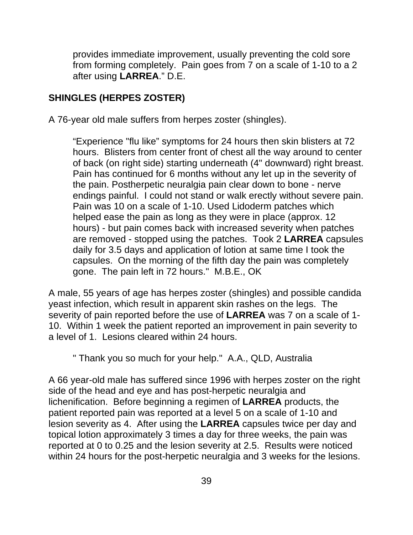provides immediate improvement, usually preventing the cold sore from forming completely. Pain goes from 7 on a scale of 1-10 to a 2 after using **LARREA**." D.E.

## **SHINGLES (HERPES ZOSTER)**

A 76-year old male suffers from herpes zoster (shingles).

"Experience "flu like" symptoms for 24 hours then skin blisters at 72 hours. Blisters from center front of chest all the way around to center of back (on right side) starting underneath (4" downward) right breast. Pain has continued for 6 months without any let up in the severity of the pain. Postherpetic neuralgia pain clear down to bone - nerve endings painful. I could not stand or walk erectly without severe pain. Pain was 10 on a scale of 1-10. Used Lidoderm patches which helped ease the pain as long as they were in place (approx. 12 hours) - but pain comes back with increased severity when patches are removed - stopped using the patches. Took 2 **LARREA** capsules daily for 3.5 days and application of lotion at same time I took the capsules. On the morning of the fifth day the pain was completely gone. The pain left in 72 hours." M.B.E., OK

A male, 55 years of age has herpes zoster (shingles) and possible candida yeast infection, which result in apparent skin rashes on the legs. The severity of pain reported before the use of **LARREA** was 7 on a scale of 1- 10. Within 1 week the patient reported an improvement in pain severity to a level of 1. Lesions cleared within 24 hours.

" Thank you so much for your help." A.A., QLD, Australia

A 66 year-old male has suffered since 1996 with herpes zoster on the right side of the head and eye and has post-herpetic neuralgia and lichenification. Before beginning a regimen of **LARREA** products, the patient reported pain was reported at a level 5 on a scale of 1-10 and lesion severity as 4. After using the **LARREA** capsules twice per day and topical lotion approximately 3 times a day for three weeks, the pain was reported at 0 to 0.25 and the lesion severity at 2.5. Results were noticed within 24 hours for the post-herpetic neuralgia and 3 weeks for the lesions.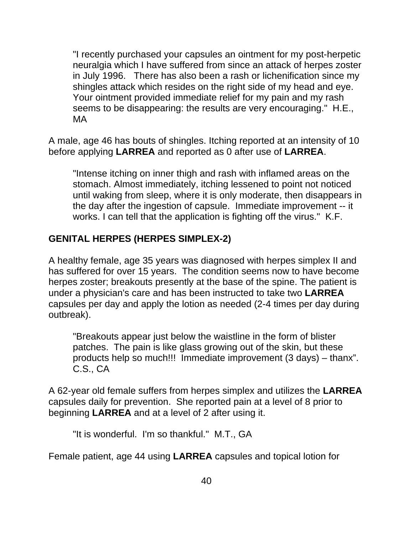"I recently purchased your capsules an ointment for my post-herpetic neuralgia which I have suffered from since an attack of herpes zoster in July 1996. There has also been a rash or lichenification since my shingles attack which resides on the right side of my head and eye. Your ointment provided immediate relief for my pain and my rash seems to be disappearing: the results are very encouraging." H.E., MA

A male, age 46 has bouts of shingles. Itching reported at an intensity of 10 before applying **LARREA** and reported as 0 after use of **LARREA**.

"Intense itching on inner thigh and rash with inflamed areas on the stomach. Almost immediately, itching lessened to point not noticed until waking from sleep, where it is only moderate, then disappears in the day after the ingestion of capsule. Immediate improvement -- it works. I can tell that the application is fighting off the virus." K.F.

## **GENITAL HERPES (HERPES SIMPLEX-2)**

A healthy female, age 35 years was diagnosed with herpes simplex II and has suffered for over 15 years. The condition seems now to have become herpes zoster; breakouts presently at the base of the spine. The patient is under a physician's care and has been instructed to take two **LARREA** capsules per day and apply the lotion as needed (2-4 times per day during outbreak).

"Breakouts appear just below the waistline in the form of blister patches. The pain is like glass growing out of the skin, but these products help so much!!! Immediate improvement (3 days) – thanx". C.S., CA

A 62-year old female suffers from herpes simplex and utilizes the **LARREA** capsules daily for prevention. She reported pain at a level of 8 prior to beginning **LARREA** and at a level of 2 after using it.

"It is wonderful. I'm so thankful." M.T., GA

Female patient, age 44 using **LARREA** capsules and topical lotion for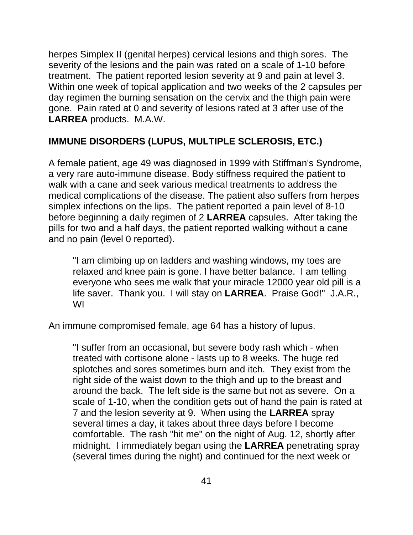herpes Simplex II (genital herpes) cervical lesions and thigh sores. The severity of the lesions and the pain was rated on a scale of 1-10 before treatment. The patient reported lesion severity at 9 and pain at level 3. Within one week of topical application and two weeks of the 2 capsules per day regimen the burning sensation on the cervix and the thigh pain were gone. Pain rated at 0 and severity of lesions rated at 3 after use of the **LARREA** products. M.A.W.

## **IMMUNE DISORDERS (LUPUS, MULTIPLE SCLEROSIS, ETC.)**

A female patient, age 49 was diagnosed in 1999 with Stiffman's Syndrome, a very rare auto-immune disease. Body stiffness required the patient to walk with a cane and seek various medical treatments to address the medical complications of the disease. The patient also suffers from herpes simplex infections on the lips. The patient reported a pain level of 8-10 before beginning a daily regimen of 2 **LARREA** capsules. After taking the pills for two and a half days, the patient reported walking without a cane and no pain (level 0 reported).

"I am climbing up on ladders and washing windows, my toes are relaxed and knee pain is gone. I have better balance. I am telling everyone who sees me walk that your miracle 12000 year old pill is a life saver. Thank you. I will stay on **LARREA**. Praise God!" J.A.R., WI

An immune compromised female, age 64 has a history of lupus.

"I suffer from an occasional, but severe body rash which - when treated with cortisone alone - lasts up to 8 weeks. The huge red splotches and sores sometimes burn and itch. They exist from the right side of the waist down to the thigh and up to the breast and around the back. The left side is the same but not as severe. On a scale of 1-10, when the condition gets out of hand the pain is rated at 7 and the lesion severity at 9. When using the **LARREA** spray several times a day, it takes about three days before I become comfortable. The rash "hit me" on the night of Aug. 12, shortly after midnight. I immediately began using the **LARREA** penetrating spray (several times during the night) and continued for the next week or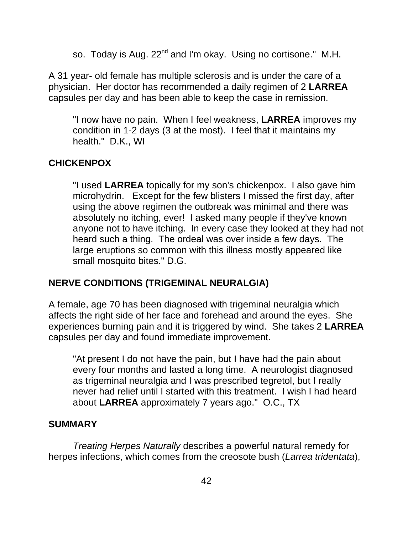so. Today is Aug. 22<sup>nd</sup> and I'm okay. Using no cortisone." M.H.

A 31 year- old female has multiple sclerosis and is under the care of a physician. Her doctor has recommended a daily regimen of 2 **LARREA** capsules per day and has been able to keep the case in remission.

"I now have no pain. When I feel weakness, **LARREA** improves my condition in 1-2 days (3 at the most). I feel that it maintains my health." D.K., WI

## **CHICKENPOX**

"I used **LARREA** topically for my son's chickenpox. I also gave him microhydrin. Except for the few blisters I missed the first day, after using the above regimen the outbreak was minimal and there was absolutely no itching, ever! I asked many people if they've known anyone not to have itching. In every case they looked at they had not heard such a thing. The ordeal was over inside a few days. The large eruptions so common with this illness mostly appeared like small mosquito bites." D.G.

## **NERVE CONDITIONS (TRIGEMINAL NEURALGIA)**

A female, age 70 has been diagnosed with trigeminal neuralgia which affects the right side of her face and forehead and around the eyes. She experiences burning pain and it is triggered by wind. She takes 2 **LARREA** capsules per day and found immediate improvement.

"At present I do not have the pain, but I have had the pain about every four months and lasted a long time. A neurologist diagnosed as trigeminal neuralgia and I was prescribed tegretol, but I really never had relief until I started with this treatment. I wish I had heard about **LARREA** approximately 7 years ago." O.C., TX

#### **SUMMARY**

*Treating Herpes Naturally* describes a powerful natural remedy for herpes infections, which comes from the creosote bush (*Larrea tridentata*),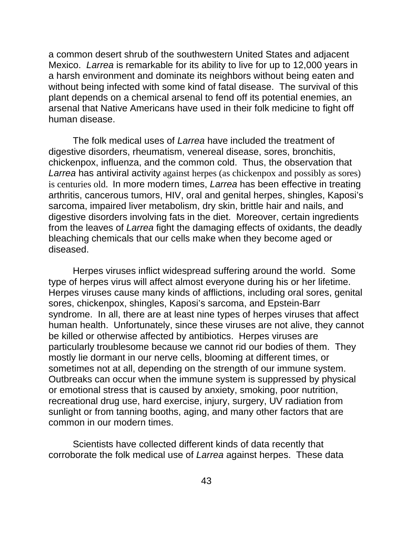a common desert shrub of the southwestern United States and adjacent Mexico. *Larrea* is remarkable for its ability to live for up to 12,000 years in a harsh environment and dominate its neighbors without being eaten and without being infected with some kind of fatal disease. The survival of this plant depends on a chemical arsenal to fend off its potential enemies, an arsenal that Native Americans have used in their folk medicine to fight off human disease.

The folk medical uses of *Larrea* have included the treatment of digestive disorders, rheumatism, venereal disease, sores, bronchitis, chickenpox, influenza, and the common cold. Thus, the observation that *Larrea* has antiviral activity against herpes (as chickenpox and possibly as sores) is centuries old. In more modern times, *Larrea* has been effective in treating arthritis, cancerous tumors, HIV, oral and genital herpes, shingles, Kaposi's sarcoma, impaired liver metabolism, dry skin, brittle hair and nails, and digestive disorders involving fats in the diet. Moreover, certain ingredients from the leaves of *Larrea* fight the damaging effects of oxidants, the deadly bleaching chemicals that our cells make when they become aged or diseased.

Herpes viruses inflict widespread suffering around the world. Some type of herpes virus will affect almost everyone during his or her lifetime. Herpes viruses cause many kinds of afflictions, including oral sores, genital sores, chickenpox, shingles, Kaposi's sarcoma, and Epstein-Barr syndrome. In all, there are at least nine types of herpes viruses that affect human health. Unfortunately, since these viruses are not alive, they cannot be killed or otherwise affected by antibiotics. Herpes viruses are particularly troublesome because we cannot rid our bodies of them. They mostly lie dormant in our nerve cells, blooming at different times, or sometimes not at all, depending on the strength of our immune system. Outbreaks can occur when the immune system is suppressed by physical or emotional stress that is caused by anxiety, smoking, poor nutrition, recreational drug use, hard exercise, injury, surgery, UV radiation from sunlight or from tanning booths, aging, and many other factors that are common in our modern times.

Scientists have collected different kinds of data recently that corroborate the folk medical use of *Larrea* against herpes. These data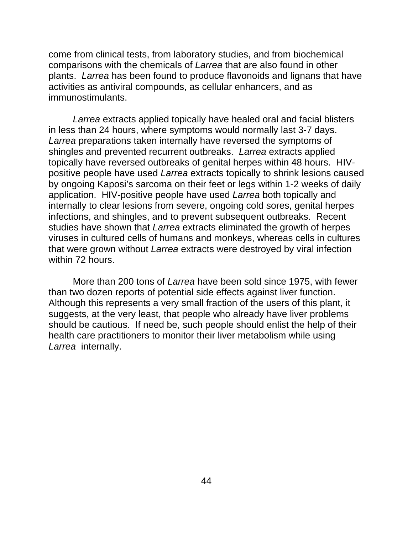come from clinical tests, from laboratory studies, and from biochemical comparisons with the chemicals of *Larrea* that are also found in other plants. *Larrea* has been found to produce flavonoids and lignans that have activities as antiviral compounds, as cellular enhancers, and as immunostimulants.

*Larrea* extracts applied topically have healed oral and facial blisters in less than 24 hours, where symptoms would normally last 3-7 days. *Larrea* preparations taken internally have reversed the symptoms of shingles and prevented recurrent outbreaks. *Larrea* extracts applied topically have reversed outbreaks of genital herpes within 48 hours. HIVpositive people have used *Larrea* extracts topically to shrink lesions caused by ongoing Kaposi's sarcoma on their feet or legs within 1-2 weeks of daily application. HIV-positive people have used *Larrea* both topically and internally to clear lesions from severe, ongoing cold sores, genital herpes infections, and shingles, and to prevent subsequent outbreaks. Recent studies have shown that *Larrea* extracts eliminated the growth of herpes viruses in cultured cells of humans and monkeys, whereas cells in cultures that were grown without *Larrea* extracts were destroyed by viral infection within 72 hours.

More than 200 tons of *Larrea* have been sold since 1975, with fewer than two dozen reports of potential side effects against liver function. Although this represents a very small fraction of the users of this plant, it suggests, at the very least, that people who already have liver problems should be cautious. If need be, such people should enlist the help of their health care practitioners to monitor their liver metabolism while using *Larrea* internally.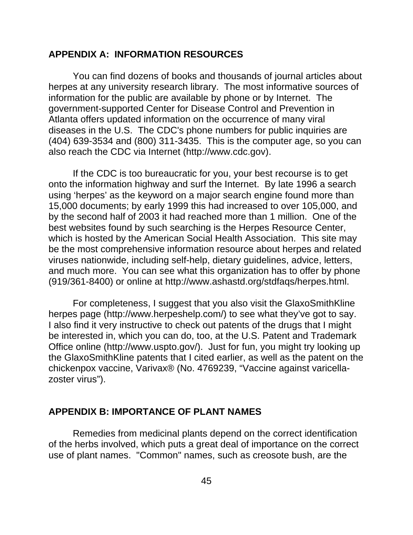#### **APPENDIX A: INFORMATION RESOURCES**

You can find dozens of books and thousands of journal articles about herpes at any university research library. The most informative sources of information for the public are available by phone or by Internet. The government-supported Center for Disease Control and Prevention in Atlanta offers updated information on the occurrence of many viral diseases in the U.S. The CDC's phone numbers for public inquiries are (404) 639-3534 and (800) 311-3435. This is the computer age, so you can also reach the CDC via Internet (http://www.cdc.gov).

If the CDC is too bureaucratic for you, your best recourse is to get onto the information highway and surf the Internet. By late 1996 a search using 'herpes' as the keyword on a major search engine found more than 15,000 documents; by early 1999 this had increased to over 105,000, and by the second half of 2003 it had reached more than 1 million. One of the best websites found by such searching is the Herpes Resource Center, which is hosted by the American Social Health Association. This site may be the most comprehensive information resource about herpes and related viruses nationwide, including self-help, dietary guidelines, advice, letters, and much more. You can see what this organization has to offer by phone (919/361-8400) or online at http://www.ashastd.org/stdfaqs/herpes.html.

For completeness, I suggest that you also visit the GlaxoSmithKline herpes page (http://www.herpeshelp.com/) to see what they've got to say. I also find it very instructive to check out patents of the drugs that I might be interested in, which you can do, too, at the U.S. Patent and Trademark Office online (http://www.uspto.gov/). Just for fun, you might try looking up the GlaxoSmithKline patents that I cited earlier, as well as the patent on the chickenpox vaccine, Varivax® (No. 4769239, "Vaccine against varicellazoster virus").

#### **APPENDIX B: IMPORTANCE OF PLANT NAMES**

Remedies from medicinal plants depend on the correct identification of the herbs involved, which puts a great deal of importance on the correct use of plant names. "Common" names, such as creosote bush, are the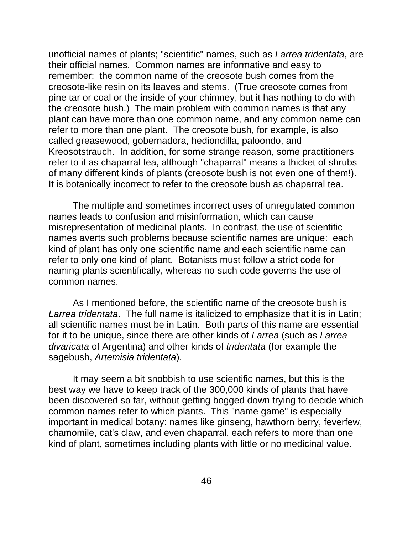unofficial names of plants; "scientific" names, such as *Larrea tridentata*, are their official names. Common names are informative and easy to remember: the common name of the creosote bush comes from the creosote-like resin on its leaves and stems. (True creosote comes from pine tar or coal or the inside of your chimney, but it has nothing to do with the creosote bush.) The main problem with common names is that any plant can have more than one common name, and any common name can refer to more than one plant. The creosote bush, for example, is also called greasewood, gobernadora, hediondilla, paloondo, and Kreosotstrauch. In addition, for some strange reason, some practitioners refer to it as chaparral tea, although "chaparral" means a thicket of shrubs of many different kinds of plants (creosote bush is not even one of them!). It is botanically incorrect to refer to the creosote bush as chaparral tea.

The multiple and sometimes incorrect uses of unregulated common names leads to confusion and misinformation, which can cause misrepresentation of medicinal plants. In contrast, the use of scientific names averts such problems because scientific names are unique: each kind of plant has only one scientific name and each scientific name can refer to only one kind of plant. Botanists must follow a strict code for naming plants scientifically, whereas no such code governs the use of common names.

As I mentioned before, the scientific name of the creosote bush is *Larrea tridentata*. The full name is italicized to emphasize that it is in Latin; all scientific names must be in Latin. Both parts of this name are essential for it to be unique, since there are other kinds of *Larrea* (such as *Larrea divaricata* of Argentina) and other kinds of *tridentata* (for example the sagebush, *Artemisia tridentata*).

It may seem a bit snobbish to use scientific names, but this is the best way we have to keep track of the 300,000 kinds of plants that have been discovered so far, without getting bogged down trying to decide which common names refer to which plants. This "name game" is especially important in medical botany: names like ginseng, hawthorn berry, feverfew, chamomile, cat's claw, and even chaparral, each refers to more than one kind of plant, sometimes including plants with little or no medicinal value.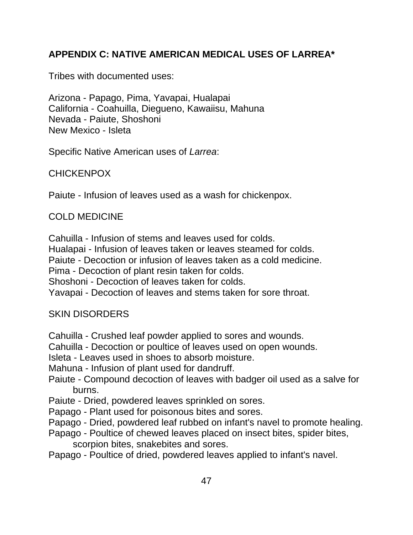## **APPENDIX C: NATIVE AMERICAN MEDICAL USES OF LARREA\***

Tribes with documented uses:

Arizona - Papago, Pima, Yavapai, Hualapai California - Coahuilla, Diegueno, Kawaiisu, Mahuna Nevada - Paiute, Shoshoni New Mexico - Isleta

Specific Native American uses of *Larrea*:

CHICKENPOX

Paiute - Infusion of leaves used as a wash for chickenpox.

## COLD MEDICINE

Cahuilla - Infusion of stems and leaves used for colds.

Hualapai - Infusion of leaves taken or leaves steamed for colds.

Paiute - Decoction or infusion of leaves taken as a cold medicine.

Pima - Decoction of plant resin taken for colds.

Shoshoni - Decoction of leaves taken for colds.

Yavapai - Decoction of leaves and stems taken for sore throat.

## SKIN DISORDERS

Cahuilla - Crushed leaf powder applied to sores and wounds.

Cahuilla - Decoction or poultice of leaves used on open wounds.

Isleta - Leaves used in shoes to absorb moisture.

Mahuna - Infusion of plant used for dandruff.

- Paiute Compound decoction of leaves with badger oil used as a salve for burns.
- Paiute Dried, powdered leaves sprinkled on sores.
- Papago Plant used for poisonous bites and sores.
- Papago Dried, powdered leaf rubbed on infant's navel to promote healing.
- Papago Poultice of chewed leaves placed on insect bites, spider bites, scorpion bites, snakebites and sores.
- Papago Poultice of dried, powdered leaves applied to infant's navel.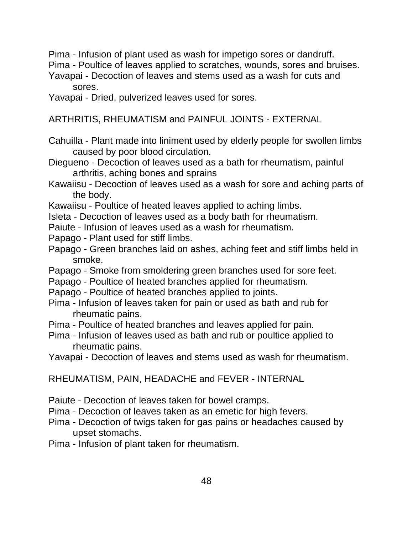Pima - Infusion of plant used as wash for impetigo sores or dandruff.

Pima - Poultice of leaves applied to scratches, wounds, sores and bruises.

Yavapai - Decoction of leaves and stems used as a wash for cuts and sores.

Yavapai - Dried, pulverized leaves used for sores.

ARTHRITIS, RHEUMATISM and PAINFUL JOINTS - EXTERNAL

- Cahuilla Plant made into liniment used by elderly people for swollen limbs caused by poor blood circulation.
- Diegueno Decoction of leaves used as a bath for rheumatism, painful arthritis, aching bones and sprains
- Kawaiisu Decoction of leaves used as a wash for sore and aching parts of the body.
- Kawaiisu Poultice of heated leaves applied to aching limbs.
- Isleta Decoction of leaves used as a body bath for rheumatism.
- Paiute Infusion of leaves used as a wash for rheumatism.
- Papago Plant used for stiff limbs.
- Papago Green branches laid on ashes, aching feet and stiff limbs held in smoke.
- Papago Smoke from smoldering green branches used for sore feet.
- Papago Poultice of heated branches applied for rheumatism.
- Papago Poultice of heated branches applied to joints.
- Pima Infusion of leaves taken for pain or used as bath and rub for rheumatic pains.
- Pima Poultice of heated branches and leaves applied for pain.
- Pima Infusion of leaves used as bath and rub or poultice applied to rheumatic pains.
- Yavapai Decoction of leaves and stems used as wash for rheumatism.

RHEUMATISM, PAIN, HEADACHE and FEVER - INTERNAL

- Paiute Decoction of leaves taken for bowel cramps.
- Pima Decoction of leaves taken as an emetic for high fevers.
- Pima Decoction of twigs taken for gas pains or headaches caused by upset stomachs.
- Pima Infusion of plant taken for rheumatism.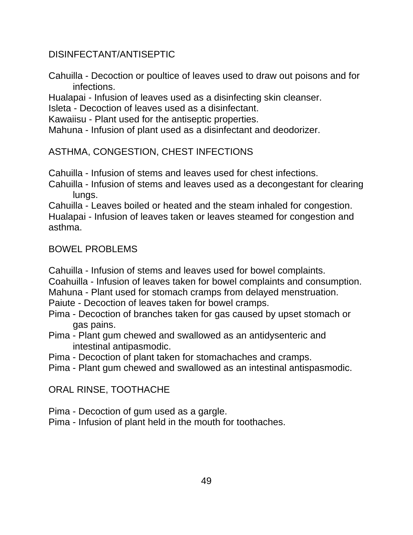## DISINFECTANT/ANTISEPTIC

Cahuilla - Decoction or poultice of leaves used to draw out poisons and for infections.

Hualapai - Infusion of leaves used as a disinfecting skin cleanser.

Isleta - Decoction of leaves used as a disinfectant.

Kawaiisu - Plant used for the antiseptic properties.

Mahuna - Infusion of plant used as a disinfectant and deodorizer.

ASTHMA, CONGESTION, CHEST INFECTIONS

Cahuilla - Infusion of stems and leaves used for chest infections.

Cahuilla - Infusion of stems and leaves used as a decongestant for clearing lungs.

Cahuilla - Leaves boiled or heated and the steam inhaled for congestion. Hualapai - Infusion of leaves taken or leaves steamed for congestion and asthma.

## BOWEL PROBLEMS

Cahuilla - Infusion of stems and leaves used for bowel complaints.

Coahuilla - Infusion of leaves taken for bowel complaints and consumption.

- Mahuna Plant used for stomach cramps from delayed menstruation.
- Paiute Decoction of leaves taken for bowel cramps.
- Pima Decoction of branches taken for gas caused by upset stomach or gas pains.
- Pima Plant gum chewed and swallowed as an antidysenteric and intestinal antipasmodic.
- Pima Decoction of plant taken for stomachaches and cramps.
- Pima Plant gum chewed and swallowed as an intestinal antispasmodic.

## ORAL RINSE, TOOTHACHE

- Pima Decoction of gum used as a gargle.
- Pima Infusion of plant held in the mouth for toothaches.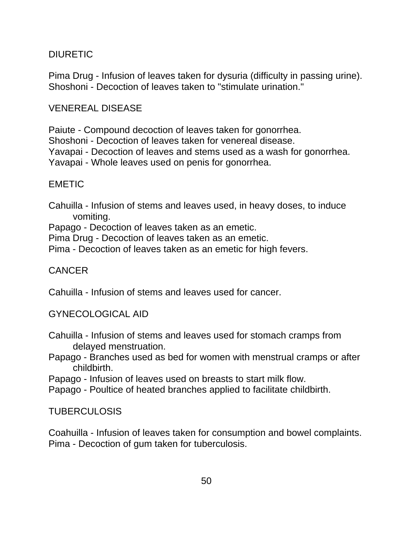## DIURETIC

Pima Drug - Infusion of leaves taken for dysuria (difficulty in passing urine). Shoshoni - Decoction of leaves taken to "stimulate urination."

## VENEREAL DISEASE

Paiute - Compound decoction of leaves taken for gonorrhea.

Shoshoni - Decoction of leaves taken for venereal disease.

Yavapai - Decoction of leaves and stems used as a wash for gonorrhea.

Yavapai - Whole leaves used on penis for gonorrhea.

## EMETIC

Cahuilla - Infusion of stems and leaves used, in heavy doses, to induce vomiting.

Papago - Decoction of leaves taken as an emetic.

Pima Drug - Decoction of leaves taken as an emetic.

Pima - Decoction of leaves taken as an emetic for high fevers.

## CANCER

Cahuilla - Infusion of stems and leaves used for cancer.

## GYNECOLOGICAL AID

- Cahuilla Infusion of stems and leaves used for stomach cramps from delayed menstruation.
- Papago Branches used as bed for women with menstrual cramps or after childbirth.

Papago - Infusion of leaves used on breasts to start milk flow.

Papago - Poultice of heated branches applied to facilitate childbirth.

TUBERCULOSIS

Coahuilla - Infusion of leaves taken for consumption and bowel complaints. Pima - Decoction of gum taken for tuberculosis.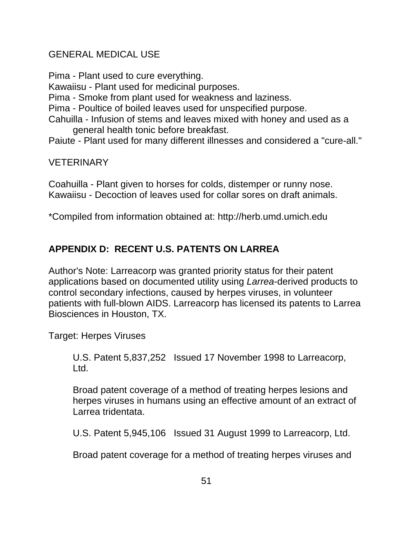## GENERAL MEDICAL USE

Pima - Plant used to cure everything.

Kawaiisu - Plant used for medicinal purposes.

Pima - Smoke from plant used for weakness and laziness.

Pima - Poultice of boiled leaves used for unspecified purpose.

Cahuilla - Infusion of stems and leaves mixed with honey and used as a general health tonic before breakfast.

Paiute - Plant used for many different illnesses and considered a "cure-all."

## **VETERINARY**

Coahuilla - Plant given to horses for colds, distemper or runny nose. Kawaiisu - Decoction of leaves used for collar sores on draft animals.

\*Compiled from information obtained at: http://herb.umd.umich.edu

## **APPENDIX D: RECENT U.S. PATENTS ON LARREA**

Author's Note: Larreacorp was granted priority status for their patent applications based on documented utility using *Larrea*-derived products to control secondary infections, caused by herpes viruses, in volunteer patients with full-blown AIDS. Larreacorp has licensed its patents to Larrea Biosciences in Houston, TX.

Target: Herpes Viruses

U.S. Patent 5,837,252 Issued 17 November 1998 to Larreacorp, Ltd.

Broad patent coverage of a method of treating herpes lesions and herpes viruses in humans using an effective amount of an extract of Larrea tridentata.

U.S. Patent 5,945,106 Issued 31 August 1999 to Larreacorp, Ltd.

Broad patent coverage for a method of treating herpes viruses and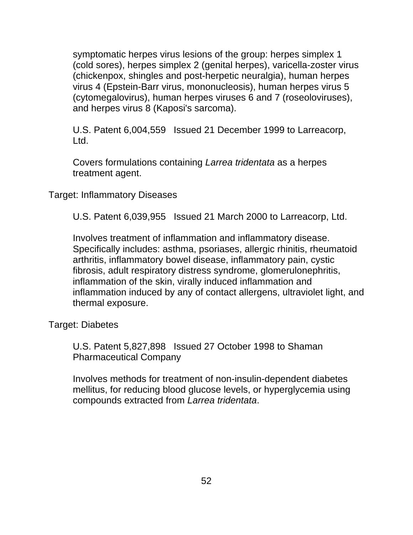symptomatic herpes virus lesions of the group: herpes simplex 1 (cold sores), herpes simplex 2 (genital herpes), varicella-zoster virus (chickenpox, shingles and post-herpetic neuralgia), human herpes virus 4 (Epstein-Barr virus, mononucleosis), human herpes virus 5 (cytomegalovirus), human herpes viruses 6 and 7 (roseoloviruses), and herpes virus 8 (Kaposi's sarcoma).

U.S. Patent 6,004,559 Issued 21 December 1999 to Larreacorp, Ltd.

Covers formulations containing *Larrea tridentata* as a herpes treatment agent.

Target: Inflammatory Diseases

U.S. Patent 6,039,955 Issued 21 March 2000 to Larreacorp, Ltd.

Involves treatment of inflammation and inflammatory disease. Specifically includes: asthma, psoriases, allergic rhinitis, rheumatoid arthritis, inflammatory bowel disease, inflammatory pain, cystic fibrosis, adult respiratory distress syndrome, glomerulonephritis, inflammation of the skin, virally induced inflammation and inflammation induced by any of contact allergens, ultraviolet light, and thermal exposure.

Target: Diabetes

U.S. Patent 5,827,898 Issued 27 October 1998 to Shaman Pharmaceutical Company

Involves methods for treatment of non-insulin-dependent diabetes mellitus, for reducing blood glucose levels, or hyperglycemia using compounds extracted from *Larrea tridentata*.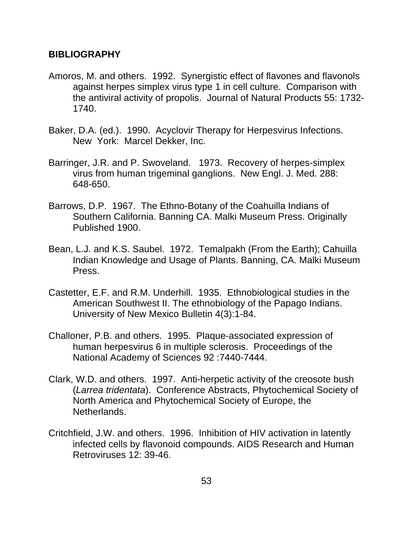## **BIBLIOGRAPHY**

- Amoros, M. and others. 1992. Synergistic effect of flavones and flavonols against herpes simplex virus type 1 in cell culture. Comparison with the antiviral activity of propolis. Journal of Natural Products 55: 1732- 1740.
- Baker, D.A. (ed.). 1990. Acyclovir Therapy for Herpesvirus Infections. New York: Marcel Dekker, Inc.
- Barringer, J.R. and P. Swoveland. 1973. Recovery of herpes-simplex virus from human trigeminal ganglions. New Engl. J. Med. 288: 648-650.
- Barrows, D.P. 1967. The Ethno-Botany of the Coahuilla Indians of Southern California. Banning CA. Malki Museum Press. Originally Published 1900.
- Bean, L.J. and K.S. Saubel. 1972. Temalpakh (From the Earth); Cahuilla Indian Knowledge and Usage of Plants. Banning, CA. Malki Museum Press.
- Castetter, E.F. and R.M. Underhill. 1935. Ethnobiological studies in the American Southwest II. The ethnobiology of the Papago Indians. University of New Mexico Bulletin 4(3):1-84.
- Challoner, P.B. and others. 1995. Plaque-associated expression of human herpesvirus 6 in multiple sclerosis. Proceedings of the National Academy of Sciences 92 :7440-7444.
- Clark, W.D. and others. 1997. Anti-herpetic activity of the creosote bush (*Larrea tridentata*). Conference Abstracts, Phytochemical Society of North America and Phytochemical Society of Europe, the Netherlands.
- Critchfield, J.W. and others. 1996. Inhibition of HIV activation in latently infected cells by flavonoid compounds. AIDS Research and Human Retroviruses 12: 39-46.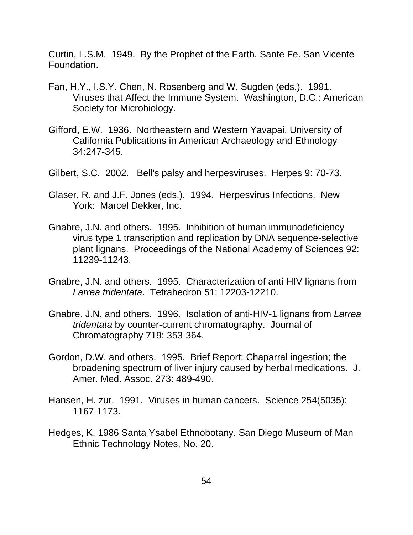Curtin, L.S.M. 1949. By the Prophet of the Earth. Sante Fe. San Vicente Foundation.

- Fan, H.Y., I.S.Y. Chen, N. Rosenberg and W. Sugden (eds.). 1991. Viruses that Affect the Immune System. Washington, D.C.: American Society for Microbiology.
- Gifford, E.W. 1936. Northeastern and Western Yavapai. University of California Publications in American Archaeology and Ethnology 34:247-345.
- Gilbert, S.C. 2002. Bell's palsy and herpesviruses. Herpes 9: 70-73.
- Glaser, R. and J.F. Jones (eds.). 1994. Herpesvirus Infections. New York: Marcel Dekker, Inc.
- Gnabre, J.N. and others. 1995. Inhibition of human immunodeficiency virus type 1 transcription and replication by DNA sequence-selective plant lignans. Proceedings of the National Academy of Sciences 92: 11239-11243.
- Gnabre, J.N. and others. 1995. Characterization of anti-HIV lignans from *Larrea tridentata*. Tetrahedron 51: 12203-12210.
- Gnabre. J.N. and others. 1996. Isolation of anti-HIV-1 lignans from *Larrea tridentata* by counter-current chromatography. Journal of Chromatography 719: 353-364.
- Gordon, D.W. and others. 1995. Brief Report: Chaparral ingestion; the broadening spectrum of liver injury caused by herbal medications. J. Amer. Med. Assoc. 273: 489-490.
- Hansen, H. zur. 1991. Viruses in human cancers. Science 254(5035): 1167-1173.
- Hedges, K. 1986 Santa Ysabel Ethnobotany. San Diego Museum of Man Ethnic Technology Notes, No. 20.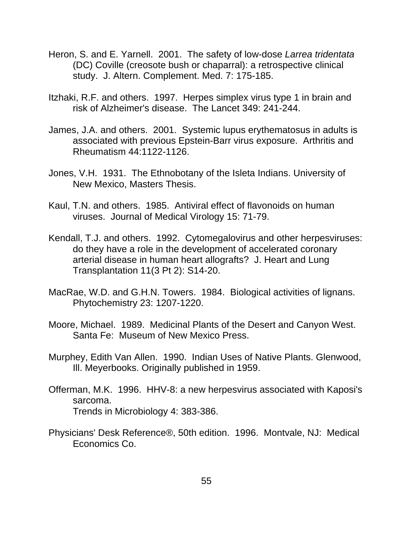- Heron, S. and E. Yarnell. 2001. The safety of low-dose *Larrea tridentata* (DC) Coville (creosote bush or chaparral): a retrospective clinical study. J. Altern. Complement. Med. 7: 175-185.
- Itzhaki, R.F. and others. 1997. Herpes simplex virus type 1 in brain and risk of Alzheimer's disease. The Lancet 349: 241-244.
- James, J.A. and others. 2001. Systemic lupus erythematosus in adults is associated with previous Epstein-Barr virus exposure. Arthritis and Rheumatism 44:1122-1126.
- Jones, V.H. 1931. The Ethnobotany of the Isleta Indians. University of New Mexico, Masters Thesis.
- Kaul, T.N. and others. 1985. Antiviral effect of flavonoids on human viruses. Journal of Medical Virology 15: 71-79.
- Kendall, T.J. and others. 1992. Cytomegalovirus and other herpesviruses: do they have a role in the development of accelerated coronary arterial disease in human heart allografts? J. Heart and Lung Transplantation 11(3 Pt 2): S14-20.
- MacRae, W.D. and G.H.N. Towers. 1984. Biological activities of lignans. Phytochemistry 23: 1207-1220.
- Moore, Michael. 1989. Medicinal Plants of the Desert and Canyon West. Santa Fe: Museum of New Mexico Press.
- Murphey, Edith Van Allen. 1990. Indian Uses of Native Plants. Glenwood, Ill. Meyerbooks. Originally published in 1959.
- Offerman, M.K. 1996. HHV-8: a new herpesvirus associated with Kaposi's sarcoma. Trends in Microbiology 4: 383-386.
- Physicians' Desk Reference®, 50th edition. 1996. Montvale, NJ: Medical Economics Co.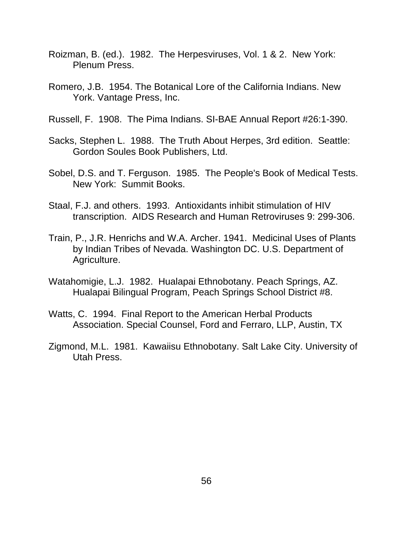- Roizman, B. (ed.). 1982. The Herpesviruses, Vol. 1 & 2. New York: Plenum Press.
- Romero, J.B. 1954. The Botanical Lore of the California Indians. New York. Vantage Press, Inc.
- Russell, F. 1908. The Pima Indians. SI-BAE Annual Report #26:1-390.
- Sacks, Stephen L. 1988. The Truth About Herpes, 3rd edition. Seattle: Gordon Soules Book Publishers, Ltd.
- Sobel, D.S. and T. Ferguson. 1985. The People's Book of Medical Tests. New York: Summit Books.
- Staal, F.J. and others. 1993. Antioxidants inhibit stimulation of HIV transcription. AIDS Research and Human Retroviruses 9: 299-306.
- Train, P., J.R. Henrichs and W.A. Archer. 1941. Medicinal Uses of Plants by Indian Tribes of Nevada. Washington DC. U.S. Department of Agriculture.
- Watahomigie, L.J. 1982. Hualapai Ethnobotany. Peach Springs, AZ. Hualapai Bilingual Program, Peach Springs School District #8.
- Watts, C. 1994. Final Report to the American Herbal Products Association. Special Counsel, Ford and Ferraro, LLP, Austin, TX
- Zigmond, M.L. 1981. Kawaiisu Ethnobotany. Salt Lake City. University of Utah Press.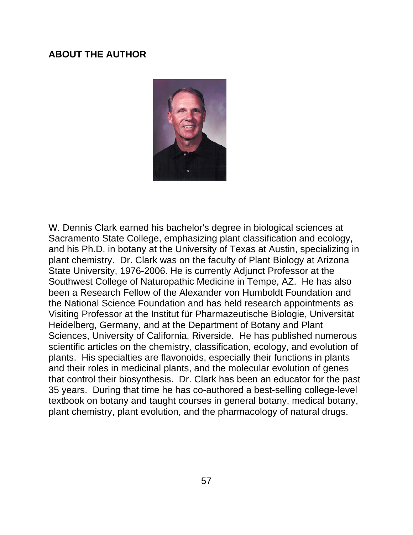### **ABOUT THE AUTHOR**



W. Dennis Clark earned his bachelor's degree in biological sciences at Sacramento State College, emphasizing plant classification and ecology, and his Ph.D. in botany at the University of Texas at Austin, specializing in plant chemistry. Dr. Clark was on the faculty of Plant Biology at Arizona State University, 1976-2006. He is currently Adjunct Professor at the Southwest College of Naturopathic Medicine in Tempe, AZ. He has also been a Research Fellow of the Alexander von Humboldt Foundation and the National Science Foundation and has held research appointments as Visiting Professor at the Institut für Pharmazeutische Biologie, Universität Heidelberg, Germany, and at the Department of Botany and Plant Sciences, University of California, Riverside. He has published numerous scientific articles on the chemistry, classification, ecology, and evolution of plants. His specialties are flavonoids, especially their functions in plants and their roles in medicinal plants, and the molecular evolution of genes that control their biosynthesis. Dr. Clark has been an educator for the past 35 years. During that time he has co-authored a best-selling college-level textbook on botany and taught courses in general botany, medical botany, plant chemistry, plant evolution, and the pharmacology of natural drugs.